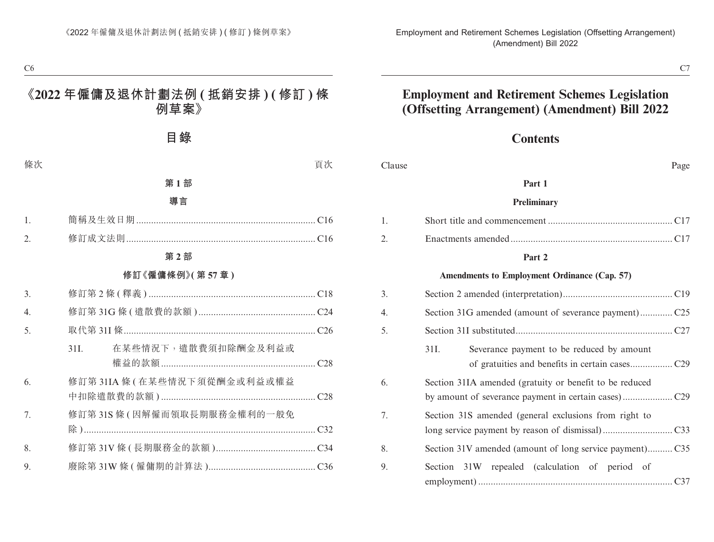## **Contents**

| Clause | Page                                                    |
|--------|---------------------------------------------------------|
|        | Part 1                                                  |
|        | Preliminary                                             |
| 1.     |                                                         |
| 2.     |                                                         |
|        | Part 2                                                  |
|        | <b>Amendments to Employment Ordinance (Cap. 57)</b>     |
| 3.     |                                                         |
| 4.     |                                                         |
| 5.     |                                                         |
|        | 31I.<br>Severance payment to be reduced by amount       |
|        |                                                         |
| 6.     | Section 31IA amended (gratuity or benefit to be reduced |
|        |                                                         |
| 7.     | Section 31S amended (general exclusions from right to   |
|        |                                                         |
| 8.     | Section 31V amended (amount of long service payment)C35 |
| 9.     | 31W repealed (calculation of period of<br>Section       |
|        |                                                         |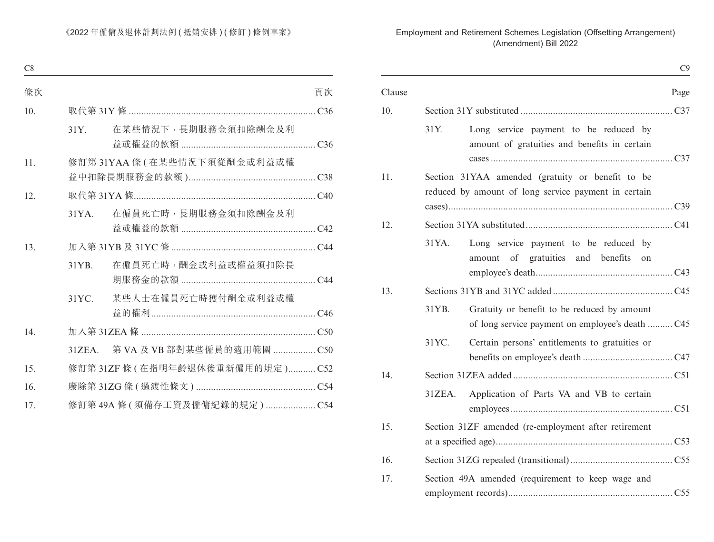|        |        |                                                                                                          | C9   |
|--------|--------|----------------------------------------------------------------------------------------------------------|------|
| Clause |        |                                                                                                          | Page |
| 10.    |        |                                                                                                          |      |
|        | 31Y.   | Long service payment to be reduced by<br>amount of gratuities and benefits in certain                    |      |
| 11.    |        | Section 31YAA amended (gratuity or benefit to be<br>reduced by amount of long service payment in certain |      |
| 12.    |        |                                                                                                          |      |
|        | 31YA.  | Long service payment to be reduced by<br>amount of gratuities and benefits on                            |      |
| 13.    |        |                                                                                                          |      |
|        | 31YB.  | Gratuity or benefit to be reduced by amount<br>of long service payment on employee's death C45           |      |
|        | 31YC.  | Certain persons' entitlements to gratuities or                                                           |      |
| 14.    |        |                                                                                                          |      |
|        | 31ZEA. | Application of Parts VA and VB to certain                                                                |      |
| 15.    |        | Section 31ZF amended (re-employment after retirement                                                     |      |
| 16.    |        |                                                                                                          |      |
| 17.    |        | Section 49A amended (requirement to keep wage and                                                        |      |
|        |        |                                                                                                          |      |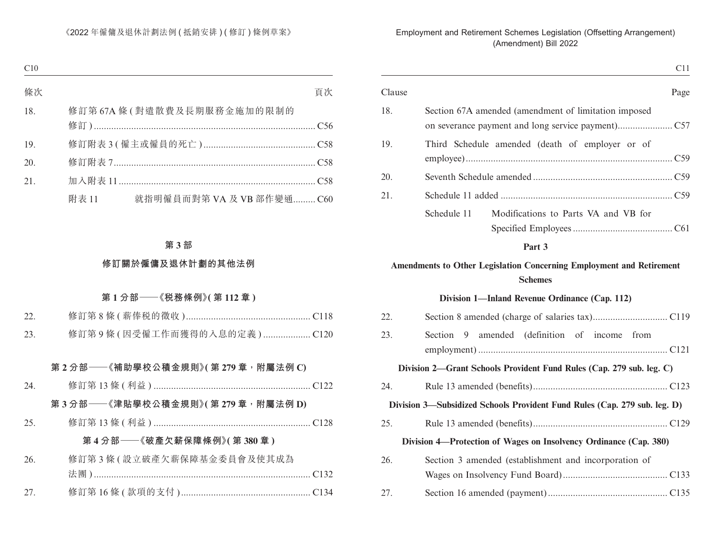| C <sub>11</sub>                                                      |        |
|----------------------------------------------------------------------|--------|
| Page                                                                 | Clause |
| Section 67A amended (amendment of limitation imposed                 | 18.    |
| Third Schedule amended (death of employer or of                      | 19.    |
|                                                                      | 20.    |
|                                                                      | 21.    |
| Modifications to Parts VA and VB for<br>Schedule 11                  |        |
| Part 3                                                               |        |
| Amendments to Other Legislation Concerning Employment and Retirement |        |

## **Amendments to Other Legislation Concerning Employment and Retirement Schemes**

#### **Division 1—Inland Revenue Ordinance (Cap. 112)**

| 22. |                                                                           |
|-----|---------------------------------------------------------------------------|
| 23. | Section 9 amended (definition of income from                              |
|     | Division 2—Grant Schools Provident Fund Rules (Cap. 279 sub. leg. C)      |
| 24. |                                                                           |
|     | Division 3—Subsidized Schools Provident Fund Rules (Cap. 279 sub. leg. D) |
| 25. |                                                                           |
|     | Division 4—Protection of Wages on Insolvency Ordinance (Cap. 380)         |
| 26. | Section 3 amended (establishment and incorporation of                     |
|     |                                                                           |
| 27. |                                                                           |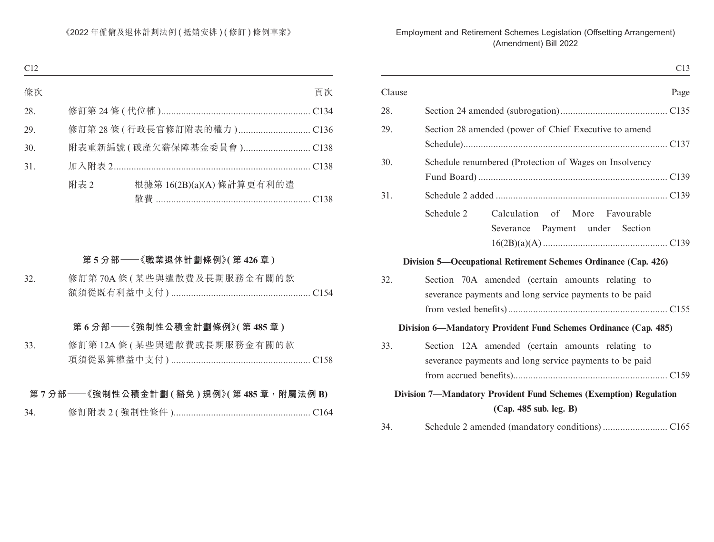| C13                                                                                                         |        |
|-------------------------------------------------------------------------------------------------------------|--------|
| Page                                                                                                        | Clause |
|                                                                                                             | 28.    |
| Section 28 amended (power of Chief Executive to amend                                                       | 29.    |
| Schedule renumbered (Protection of Wages on Insolvency                                                      | 30.    |
|                                                                                                             | 31.    |
| Calculation of More Favourable<br>Schedule 2<br>Severance Payment under Section                             |        |
| Division 5—Occupational Retirement Schemes Ordinance (Cap. 426)                                             |        |
| Section 70A amended (certain amounts relating to<br>severance payments and long service payments to be paid | 32.    |
| Division 6—Mandatory Provident Fund Schemes Ordinance (Cap. 485)                                            |        |
| Section 12A amended (certain amounts relating to<br>severance payments and long service payments to be paid | 33.    |
| Division 7-Mandatory Provident Fund Schemes (Exemption) Regulation<br>(Cap. 485 sub. leg. B)                |        |
|                                                                                                             | 34.    |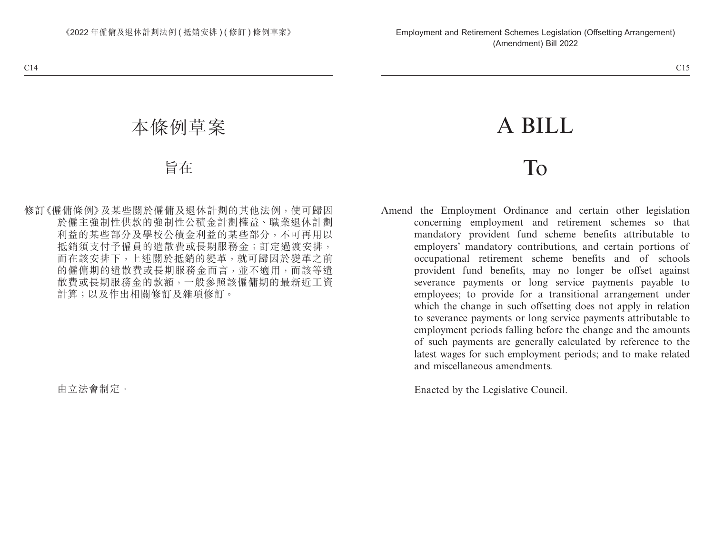# A BILL

# To

Amend the Employment Ordinance and certain other legislation concerning employment and retirement schemes so that mandatory provident fund scheme benefits attributable to employers' mandatory contributions, and certain portions of occupational retirement scheme benefits and of schools provident fund benefits, may no longer be offset against severance payments or long service payments payable to employees; to provide for a transitional arrangement under which the change in such offsetting does not apply in relation to severance payments or long service payments attributable to employment periods falling before the change and the amounts of such payments are generally calculated by reference to the latest wages for such employment periods; and to make related and miscellaneous amendments.

Enacted by the Legislative Council.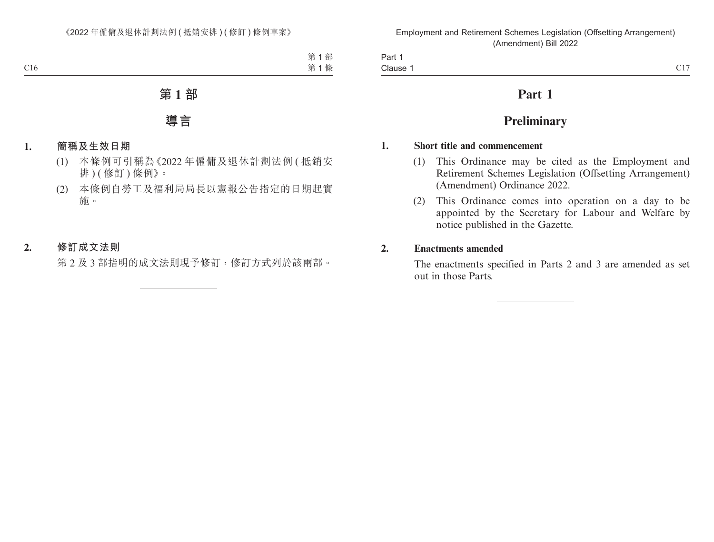| Part 1                                                                                    |                                           |
|-------------------------------------------------------------------------------------------|-------------------------------------------|
| Clause<br>the contract of the contract of the contract of the contract of the contract of | $\sim$ 1 $\sim$<br>$\sim$ $\cdot$ $\cdot$ |

# **Part 1**

# **Preliminary**

## **1. Short title and commencement**

- (1) This Ordinance may be cited as the Employment and Retirement Schemes Legislation (Offsetting Arrangement) (Amendment) Ordinance 2022.
- (2) This Ordinance comes into operation on a day to be appointed by the Secretary for Labour and Welfare by notice published in the Gazette.

## **2. Enactments amended**

The enactments specified in Parts 2 and 3 are amended as set out in those Parts.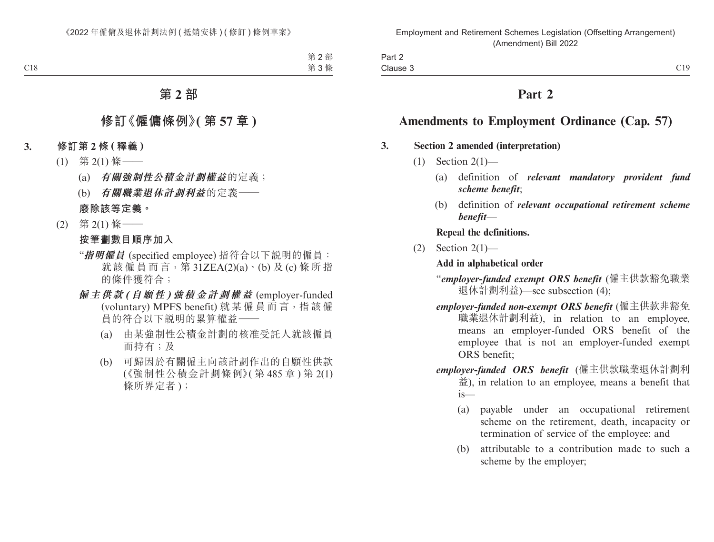# **Part 2**

# **Amendments to Employment Ordinance (Cap. 57)**

## **3. Section 2 amended (interpretation)**

- $(1)$  Section  $2(1)$ 
	- (a) definition of *relevant mandatory provident fund scheme benefit*;
	- (b) definition of *relevant occupational retirement scheme benefit*—

**Repeal the definitions.**

 $(2)$  Section  $2(1)$ —

## **Add in alphabetical order**

- "*employer-funded exempt ORS benefit* (僱主供款豁免職業 退休計劃利益)—see subsection (4);
- *employer-funded non-exempt ORS benefit* (僱主供款非豁免 職業退休計劃利益), in relation to an employee, means an employer-funded ORS benefit of the employee that is not an employer-funded exempt ORS benefit;
- *employer-funded ORS benefit* (僱主供款職業退休計劃利 益), in relation to an employee, means a benefit that is—
	- (a) payable under an occupational retirement scheme on the retirement, death, incapacity or termination of service of the employee; and
	- (b) attributable to a contribution made to such a scheme by the employer;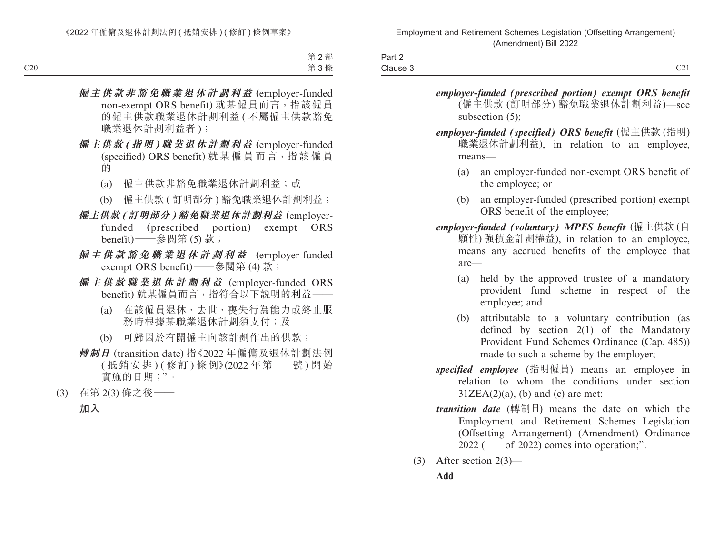| -<br>ہں<br>−arı z |                                       |
|-------------------|---------------------------------------|
| Clause 3          | $\sim$ $\sim$<br>$\sim$ $\sim$ $\sim$ |

*employer-funded (prescribed portion) exempt ORS benefit*  (僱主供款 (訂明部分) 豁免職業退休計劃利益)—see subsection (5);

*employer-funded (specified) ORS benefit* (僱主供款 (指明) 職業退休計劃利益), in relation to an employee, means—

- (a) an employer-funded non-exempt ORS benefit of the employee; or
- (b) an employer-funded (prescribed portion) exempt ORS benefit of the employee;

*employer-funded (voluntary) MPFS benefit* (僱主供款 (自 願性) 強積金計劃權益), in relation to an employee, means any accrued benefits of the employee that are—

- (a) held by the approved trustee of a mandatory provident fund scheme in respect of the employee; and
- (b) attributable to a voluntary contribution (as defined by section 2(1) of the Mandatory Provident Fund Schemes Ordinance (Cap. 485)) made to such a scheme by the employer;
- *specified employee* (指明僱員) means an employee in relation to whom the conditions under section  $31ZEA(2)(a)$ , (b) and (c) are met;
- *transition date* (轉制日) means the date on which the Employment and Retirement Schemes Legislation (Offsetting Arrangement) (Amendment) Ordinance  $2022$  ( of 2022) comes into operation;".
- (3) After section 2(3)—

**Add**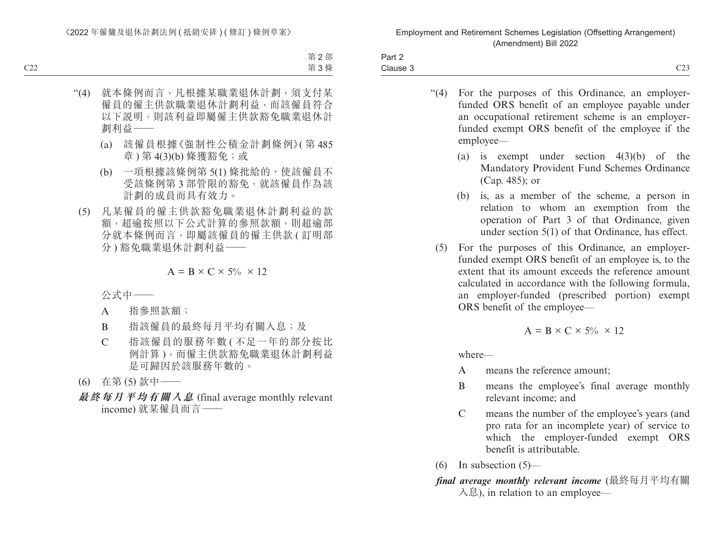| Part 2   |               |
|----------|---------------|
| Clause 3 | $\sim$<br>نصب |

- "(4) For the purposes of this Ordinance, an employerfunded ORS benefit of an employee payable under an occupational retirement scheme is an employerfunded exempt ORS benefit of the employee if the employee—
	- (a) is exempt under section 4(3)(b) of the Mandatory Provident Fund Schemes Ordinance (Cap. 485); or
	- (b) is, as a member of the scheme, a person in relation to whom an exemption from the operation of Part 3 of that Ordinance, given under section 5(1) of that Ordinance, has effect.
	- (5) For the purposes of this Ordinance, an employerfunded exempt ORS benefit of an employee is, to the extent that its amount exceeds the reference amount calculated in accordance with the following formula, an employer-funded (prescribed portion) exempt ORS benefit of the employee—

$$
A = B \times C \times 5\% \times 12
$$

where—

- A means the reference amount;
- B means the employee's final average monthly relevant income; and
- C means the number of the employee's years (and pro rata for an incomplete year) of service to which the employer-funded exempt ORS benefit is attributable.
- $(6)$  In subsection  $(5)$ —

## *final average monthly relevant income* (最終每月平均有關  $\lambda$ 息), in relation to an employee—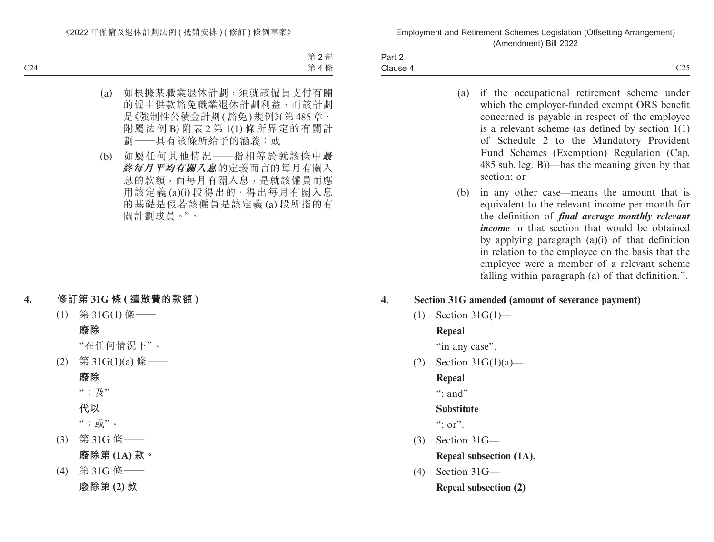| Part 2   |                  |
|----------|------------------|
| Clause 4 | $\bigcap$<br>ندب |

- (a) if the occupational retirement scheme under which the employer-funded exempt ORS benefit concerned is payable in respect of the employee is a relevant scheme (as defined by section 1(1) of Schedule 2 to the Mandatory Provident Fund Schemes (Exemption) Regulation (Cap. 485 sub. leg. B))—has the meaning given by that section; or
- (b) in any other case—means the amount that is equivalent to the relevant income per month for the definition of *final average monthly relevant income* in that section that would be obtained by applying paragraph  $(a)(i)$  of that definition in relation to the employee on the basis that the employee were a member of a relevant scheme falling within paragraph (a) of that definition.".

## **4. Section 31G amended (amount of severance payment)**

(1) Section 31G(1)—

## **Repeal**

"in any case".

(2) Section 31G(1)(a)—

**Repeal**

 $\cdots$  and"

## **Substitute**

":  $or$ ".

- (3) Section 31G— **Repeal subsection (1A).**
- (4) Section 31G— **Repeal subsection (2)**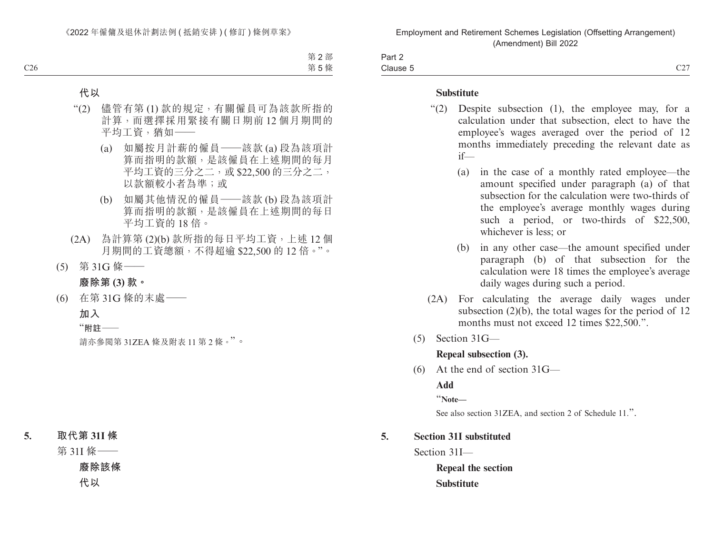| $\sim$ $\sim$<br>$\sim$<br>Part 2 |                                                |
|-----------------------------------|------------------------------------------------|
| Clause 5                          | $\sim$ $\sim$ $\sim$<br>$\sim$ $\sim$ $\prime$ |

#### **Substitute**

- "(2) Despite subsection (1), the employee may, for a calculation under that subsection, elect to have the employee's wages averaged over the period of 12 months immediately preceding the relevant date as if—
	- (a) in the case of a monthly rated employee—the amount specified under paragraph (a) of that subsection for the calculation were two-thirds of the employee's average monthly wages during such a period, or two-thirds of \$22,500, whichever is less; or
	- (b) in any other case—the amount specified under paragraph (b) of that subsection for the calculation were 18 times the employee's average daily wages during such a period.
- (2A) For calculating the average daily wages under subsection (2)(b), the total wages for the period of 12 months must not exceed 12 times \$22,500.".
- (5) Section 31G—

#### **Repeal subsection (3).**

(6) At the end of section 31G—

**Add**

"**Note—**

See also section 31ZEA, and section 2 of Schedule 11.".

## **5. Section 31I substituted**

Section 31I—

**Repeal the section Substitute**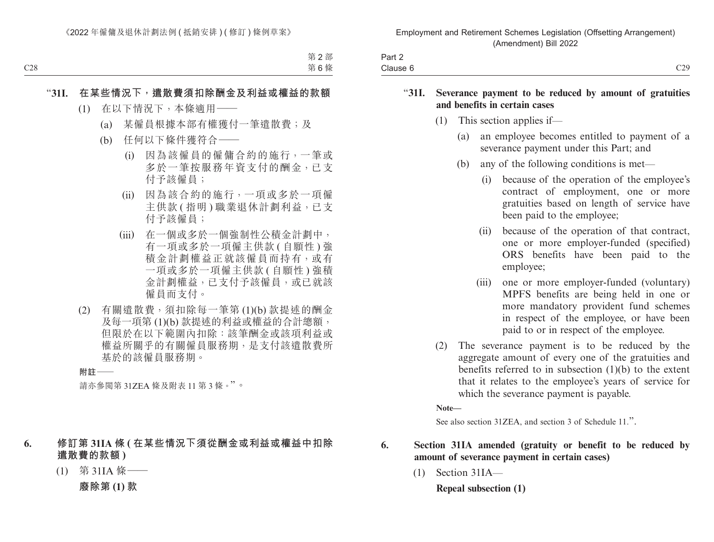| $\overline{\phantom{0}}$<br>Part ∠ |                                       |
|------------------------------------|---------------------------------------|
| Clause                             | $\sim$ $\sim$ $\sim$<br><u>v i i </u> |

#### "**31I. Severance payment to be reduced by amount of gratuities and benefits in certain cases**

- (1) This section applies if—
	- (a) an employee becomes entitled to payment of a severance payment under this Part; and
	- (b) any of the following conditions is met—
		- (i) because of the operation of the employee's contract of employment, one or more gratuities based on length of service have been paid to the employee;
		- (ii) because of the operation of that contract, one or more employer-funded (specified) ORS benefits have been paid to the employee;
		- (iii) one or more employer-funded (voluntary) MPFS benefits are being held in one or more mandatory provident fund schemes in respect of the employee, or have been paid to or in respect of the employee.
- (2) The severance payment is to be reduced by the aggregate amount of every one of the gratuities and benefits referred to in subsection  $(1)(b)$  to the extent that it relates to the employee's years of service for which the severance payment is payable.

**Note—**

See also section 31ZEA, and section 3 of Schedule 11.".

## **6. Section 31IA amended (gratuity or benefit to be reduced by amount of severance payment in certain cases)**

(1) Section 31IA—

**Repeal subsection (1)**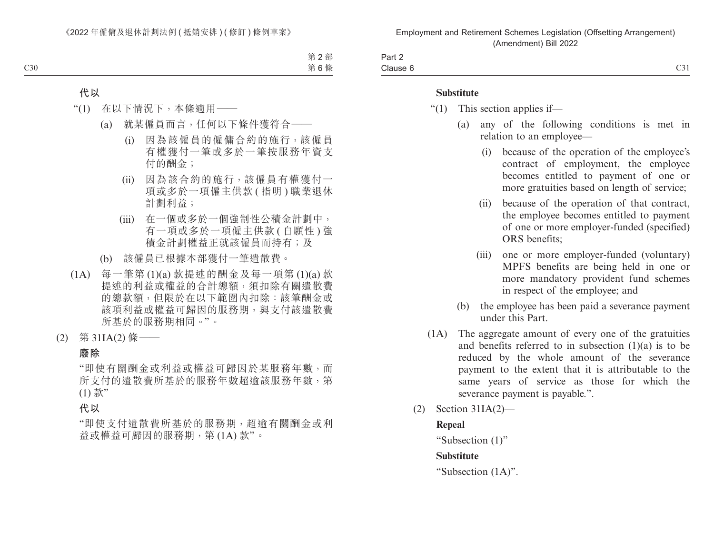| Part ∠ |                                 |
|--------|---------------------------------|
| tause  | $\sim$ $\sim$<br>$\smile\smile$ |

#### **Substitute**

- "(1) This section applies if—
	- (a) any of the following conditions is met in relation to an employee—
		- (i) because of the operation of the employee's contract of employment, the employee becomes entitled to payment of one or more gratuities based on length of service;
		- (ii) because of the operation of that contract, the employee becomes entitled to payment of one or more employer-funded (specified) ORS benefits;
		- (iii) one or more employer-funded (voluntary) MPFS benefits are being held in one or more mandatory provident fund schemes in respect of the employee; and
	- (b) the employee has been paid a severance payment under this Part.
- (1A) The aggregate amount of every one of the gratuities and benefits referred to in subsection (1)(a) is to be reduced by the whole amount of the severance payment to the extent that it is attributable to the same years of service as those for which the severance payment is payable.".
- (2) Section 31IA(2)—

## **Repeal**

"Subsection (1)"

#### **Substitute**

"Subsection (1A)".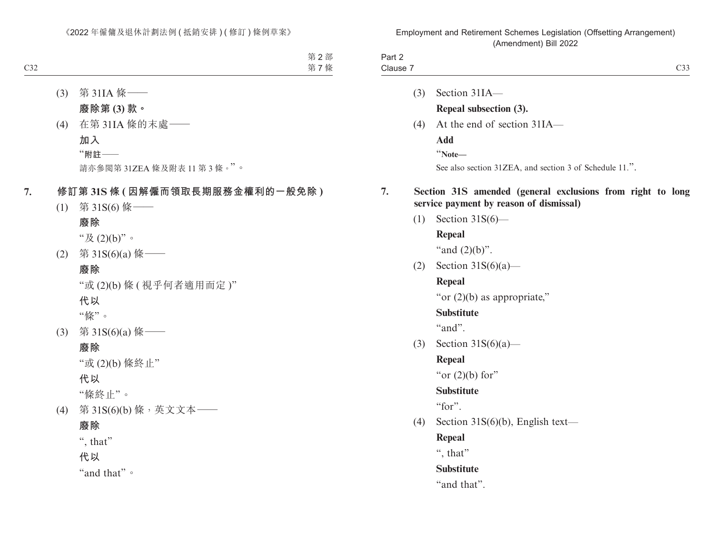|                    |     | $\mu$ and remained by $\mu$ and $\mu$                                                                 |
|--------------------|-----|-------------------------------------------------------------------------------------------------------|
| Part 2<br>Clause 7 |     | C33                                                                                                   |
|                    |     |                                                                                                       |
|                    | (3) | Section 31IA-                                                                                         |
|                    |     | Repeal subsection (3).                                                                                |
|                    | (4) | At the end of section 31IA-                                                                           |
|                    |     | Add                                                                                                   |
|                    |     | "Note-                                                                                                |
|                    |     | See also section 31ZEA, and section 3 of Schedule 11.".                                               |
| 7.                 |     | Section 31S amended (general exclusions from right to long<br>service payment by reason of dismissal) |
|                    | (1) | Section $31S(6)$ —                                                                                    |
|                    |     | Repeal                                                                                                |
|                    |     | "and $(2)(b)$ ".                                                                                      |
|                    | (2) | Section $31S(6)(a)$ —                                                                                 |
|                    |     | Repeal                                                                                                |
|                    |     | "or $(2)(b)$ as appropriate,"                                                                         |
|                    |     | <b>Substitute</b>                                                                                     |
|                    |     | "and".                                                                                                |
|                    | (3) | Section $31S(6)(a)$ —                                                                                 |
|                    |     | Repeal                                                                                                |
|                    |     | "or $(2)(b)$ for"                                                                                     |
|                    |     | <b>Substitute</b>                                                                                     |
|                    |     | "for".                                                                                                |
|                    | (4) | Section 31S(6)(b), English text-                                                                      |
|                    |     | Repeal                                                                                                |
|                    |     | ", that"                                                                                              |
|                    |     | <b>Substitute</b>                                                                                     |
|                    |     | "and that".                                                                                           |
|                    |     |                                                                                                       |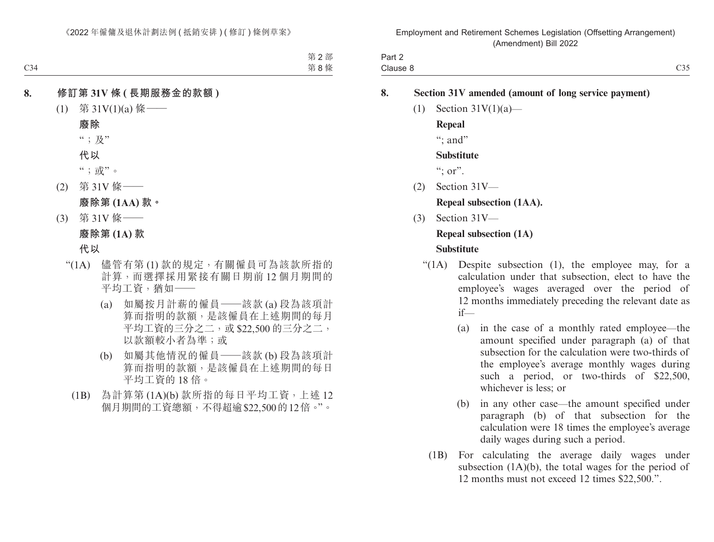| Part 2   |                    |
|----------|--------------------|
| Clause 8 | $^{\sim}$ 35<br>)。 |

## **8. Section 31V amended (amount of long service payment)**

 $(1)$  Section 31V $(1)(a)$ —

**Repeal**

": and"

## **Substitute**

 $\lq\lq$ ; or".

(2) Section 31V—

**Repeal subsection (1AA).**

(3) Section 31V—

## **Repeal subsection (1A)**

## **Substitute**

- " $(1)$ . Despite subsection  $(1)$ , the employee may, for a calculation under that subsection, elect to have the employee's wages averaged over the period of 12 months immediately preceding the relevant date as if—
	- (a) in the case of a monthly rated employee—the amount specified under paragraph (a) of that subsection for the calculation were two-thirds of the employee's average monthly wages during such a period, or two-thirds of \$22,500, whichever is less; or
	- (b) in any other case—the amount specified under paragraph (b) of that subsection for the calculation were 18 times the employee's average daily wages during such a period.
	- (1B) For calculating the average daily wages under subsection (1A)(b), the total wages for the period of 12 months must not exceed 12 times \$22,500.".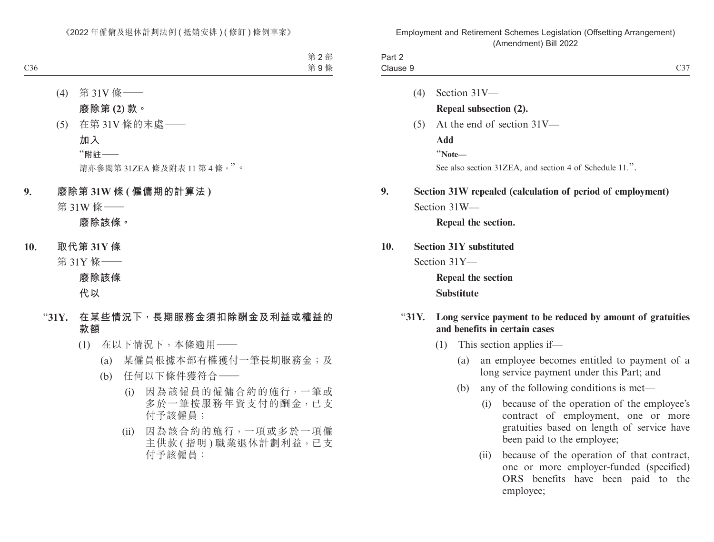| C37                                                                                                                                                           |                                                         |       | Part 2<br>Clause 9 |
|---------------------------------------------------------------------------------------------------------------------------------------------------------------|---------------------------------------------------------|-------|--------------------|
|                                                                                                                                                               | Section 31V-                                            | (4)   |                    |
|                                                                                                                                                               | Repeal subsection (2).                                  |       |                    |
|                                                                                                                                                               | At the end of section 31V-                              | (5)   |                    |
|                                                                                                                                                               | <b>Add</b>                                              |       |                    |
|                                                                                                                                                               | "Note-                                                  |       |                    |
|                                                                                                                                                               | See also section 31ZEA, and section 4 of Schedule 11.". |       |                    |
| Section 31W repealed (calculation of period of employment)                                                                                                    |                                                         |       | 9.                 |
|                                                                                                                                                               | Section 31W-                                            |       |                    |
|                                                                                                                                                               | Repeal the section.                                     |       |                    |
|                                                                                                                                                               | <b>Section 31Y substituted</b>                          |       | 10.                |
|                                                                                                                                                               | Section 31Y-                                            |       |                    |
|                                                                                                                                                               | Repeal the section                                      |       |                    |
|                                                                                                                                                               | <b>Substitute</b>                                       |       |                    |
| Long service payment to be reduced by amount of gratuities                                                                                                    | and benefits in certain cases                           | "31Y. |                    |
|                                                                                                                                                               | This section applies if—                                | (1)   |                    |
| an employee becomes entitled to payment of a<br>long service payment under this Part; and                                                                     | (a)                                                     |       |                    |
| any of the following conditions is met—                                                                                                                       | (b)                                                     |       |                    |
| because of the operation of the employee's<br>contract of employment, one or more<br>gratuities based on length of service have<br>been paid to the employee; | (i)                                                     |       |                    |

(ii) because of the operation of that contract, one or more employer-funded (specified) ORS benefits have been paid to the employee;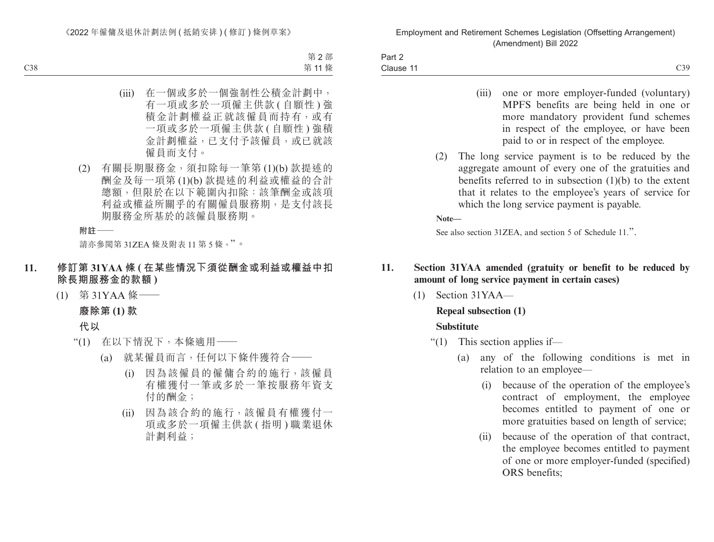| Part 2    |                                      |
|-----------|--------------------------------------|
| Clause 11 | $\sim$ $\sim$ $\sim$<br>ີ້<br>$\cup$ |

- (iii) one or more employer-funded (voluntary) MPFS benefits are being held in one or more mandatory provident fund schemes in respect of the employee, or have been paid to or in respect of the employee.
- (2) The long service payment is to be reduced by the aggregate amount of every one of the gratuities and benefits referred to in subsection (1)(b) to the extent that it relates to the employee's years of service for which the long service payment is payable.

**Note—**

See also section 31ZEA, and section 5 of Schedule 11.".

## **11. Section 31YAA amended (gratuity or benefit to be reduced by amount of long service payment in certain cases)**

(1) Section 31YAA—

## **Repeal subsection (1)**

## **Substitute**

- "(1) This section applies if—
	- (a) any of the following conditions is met in relation to an employee—
		- (i) because of the operation of the employee's contract of employment, the employee becomes entitled to payment of one or more gratuities based on length of service;
		- (ii) because of the operation of that contract, the employee becomes entitled to payment of one or more employer-funded (specified) ORS benefits;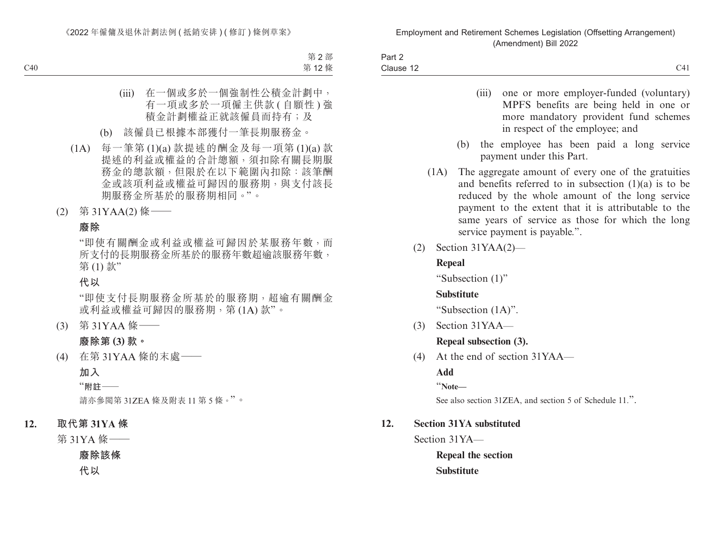| Part 2    |                                   |
|-----------|-----------------------------------|
| Clause 12 | C <sub>11</sub><br>-<br>$\sim$ 11 |

- (iii) one or more employer-funded (voluntary) MPFS benefits are being held in one or more mandatory provident fund schemes in respect of the employee; and
- (b) the employee has been paid a long service payment under this Part.
- (1A) The aggregate amount of every one of the gratuities and benefits referred to in subsection (1)(a) is to be reduced by the whole amount of the long service payment to the extent that it is attributable to the same years of service as those for which the long service payment is payable.".
- (2) Section 31YAA(2)—

## **Repeal**

"Subsection (1)"

## **Substitute**

"Subsection (1A)".

(3) Section 31YAA—

## **Repeal subsection (3).**

(4) At the end of section 31YAA—

**Add**

"**Note—**

See also section 31ZEA, and section 5 of Schedule 11.".

## **12. Section 31YA substituted**

Section 31YA—

**Repeal the section Substitute**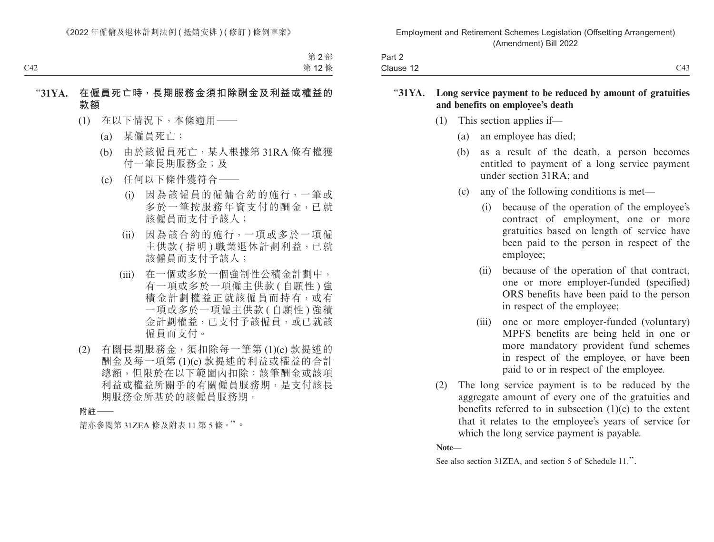| $\overline{\phantom{0}}$<br>Part 2 |                        |
|------------------------------------|------------------------|
| Clause 12                          | $\sim$ 4.0<br>∸<br>۔ ۔ |

#### "**31YA. Long service payment to be reduced by amount of gratuities and benefits on employee's death**

- (1) This section applies if—
	- (a) an employee has died;
	- (b) as a result of the death, a person becomes entitled to payment of a long service payment under section 31RA; and
	- (c) any of the following conditions is met—
		- (i) because of the operation of the employee's contract of employment, one or more gratuities based on length of service have been paid to the person in respect of the employee;
		- (ii) because of the operation of that contract, one or more employer-funded (specified) ORS benefits have been paid to the person in respect of the employee;
		- (iii) one or more employer-funded (voluntary) MPFS benefits are being held in one or more mandatory provident fund schemes in respect of the employee, or have been paid to or in respect of the employee.
- (2) The long service payment is to be reduced by the aggregate amount of every one of the gratuities and benefits referred to in subsection  $(1)(c)$  to the extent that it relates to the employee's years of service for which the long service payment is payable.

**Note—**

See also section 31ZEA, and section 5 of Schedule 11.".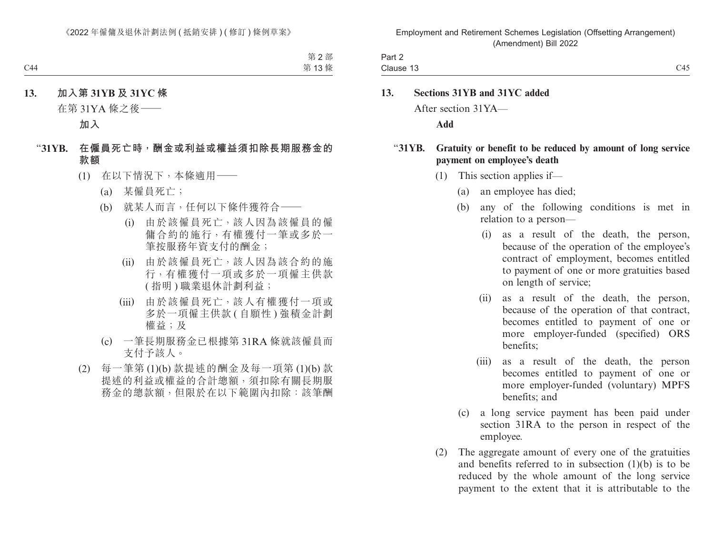| Part 2    |                       |
|-----------|-----------------------|
| Clause 13 | C15<br>∸<br>$\sim$ 10 |

# **13. Sections 31YB and 31YC added** After section 31YA—

**Add**

## "**31YB. Gratuity or benefit to be reduced by amount of long service payment on employee's death**

- (1) This section applies if—
	- (a) an employee has died;
	- (b) any of the following conditions is met in relation to a person—
		- (i) as a result of the death, the person, because of the operation of the employee's contract of employment, becomes entitled to payment of one or more gratuities based on length of service;
		- (ii) as a result of the death, the person, because of the operation of that contract, becomes entitled to payment of one or more employer-funded (specified) ORS benefits;
		- (iii) as a result of the death, the person becomes entitled to payment of one or more employer-funded (voluntary) MPFS benefits; and
	- (c) a long service payment has been paid under section 31RA to the person in respect of the employee.
- (2) The aggregate amount of every one of the gratuities and benefits referred to in subsection (1)(b) is to be reduced by the whole amount of the long service payment to the extent that it is attributable to the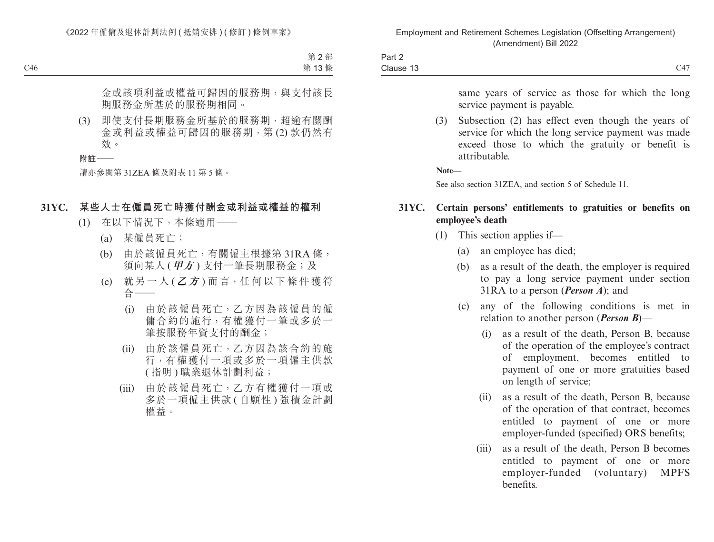| $\sim$<br>-<br>Part $\sim$ |                    |
|----------------------------|--------------------|
| Clause 13                  | $\sim$ $\sim$<br>◡ |

same years of service as those for which the long service payment is payable.

(3) Subsection (2) has effect even though the years of service for which the long service payment was made exceed those to which the gratuity or benefit is attributable.

**Note—**

See also section 31ZEA, and section 5 of Schedule 11.

## **31YC. Certain persons' entitlements to gratuities or benefits on employee's death**

- (1) This section applies if—
	- (a) an employee has died;
	- (b) as a result of the death, the employer is required to pay a long service payment under section 31RA to a person (*Person A*); and
	- (c) any of the following conditions is met in relation to another person (*Person B*)—
		- (i) as a result of the death, Person B, because of the operation of the employee's contract of employment, becomes entitled to payment of one or more gratuities based on length of service;
		- (ii) as a result of the death, Person B, because of the operation of that contract, becomes entitled to payment of one or more employer-funded (specified) ORS benefits;
		- (iii) as a result of the death, Person B becomes entitled to payment of one or more employer-funded (voluntary) MPFS benefits.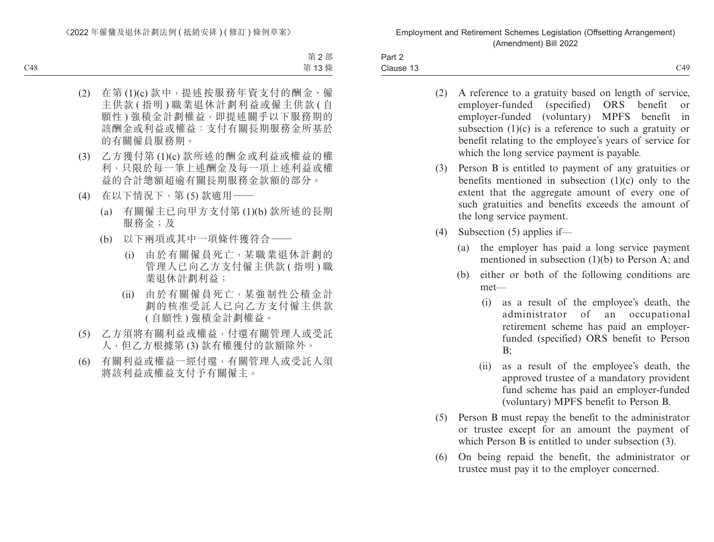| Part 2    |                  |
|-----------|------------------|
| Clause 13 | C49<br>$\sim$ 12 |

- (2) A reference to a gratuity based on length of service,<br>employer-funded (specified) ORS benefit or employer-funded (specified) ORS benefit or employer-funded (voluntary) MPFS benefit in subsection  $(1)(c)$  is a reference to such a gratuity or benefit relating to the employee's years of service for which the long service payment is payable.
- (3) Person B is entitled to payment of any gratuities or benefits mentioned in subsection (1)(c) only to the extent that the aggregate amount of every one of such gratuities and benefits exceeds the amount of the long service payment.
- (4) Subsection (5) applies if—
	- (a) the employer has paid a long service payment mentioned in subsection (1)(b) to Person A; and
	- (b) either or both of the following conditions are met—
		- (i) as a result of the employee's death, the administrator of an occupational retirement scheme has paid an employerfunded (specified) ORS benefit to Person B;
		- (ii) as a result of the employee's death, the approved trustee of a mandatory provident fund scheme has paid an employer-funded (voluntary) MPFS benefit to Person B.
- (5) Person B must repay the benefit to the administrator or trustee except for an amount the payment of which Person B is entitled to under subsection (3).
- (6) On being repaid the benefit, the administrator or trustee must pay it to the employer concerned.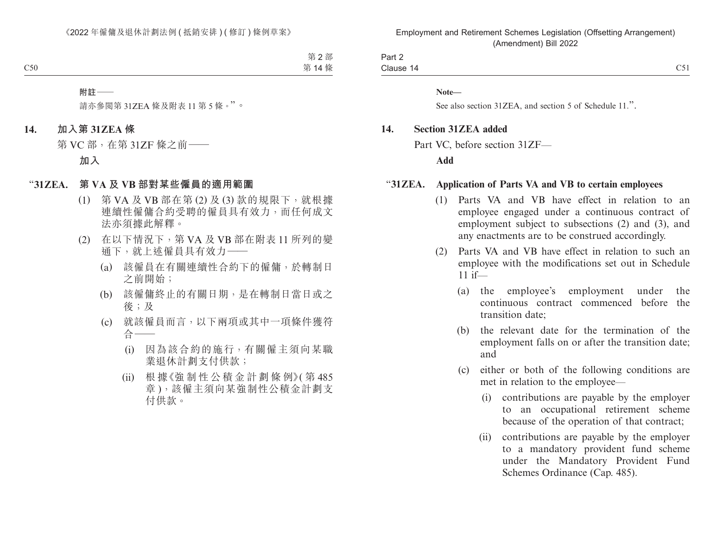| Part $\sim$   |                    |
|---------------|--------------------|
| Clause<br>. . | $\sim$ $-1$<br>ັບເ |

**Note—**

See also section 31ZEA, and section 5 of Schedule 11.".

#### **14. Section 31ZEA added**

Part VC, before section 31ZF—

**Add**

#### "**31ZEA. Application of Parts VA and VB to certain employees**

- (1) Parts VA and VB have effect in relation to an employee engaged under a continuous contract of employment subject to subsections (2) and (3), and any enactments are to be construed accordingly.
- (2) Parts VA and VB have effect in relation to such an employee with the modifications set out in Schedule 11 if—
	- (a) the employee's employment under the continuous contract commenced before the transition date;
	- (b) the relevant date for the termination of the employment falls on or after the transition date; and
	- (c) either or both of the following conditions are met in relation to the employee—
		- (i) contributions are payable by the employer to an occupational retirement scheme because of the operation of that contract;
		- (ii) contributions are payable by the employer to a mandatory provident fund scheme under the Mandatory Provident Fund Schemes Ordinance (Cap. 485).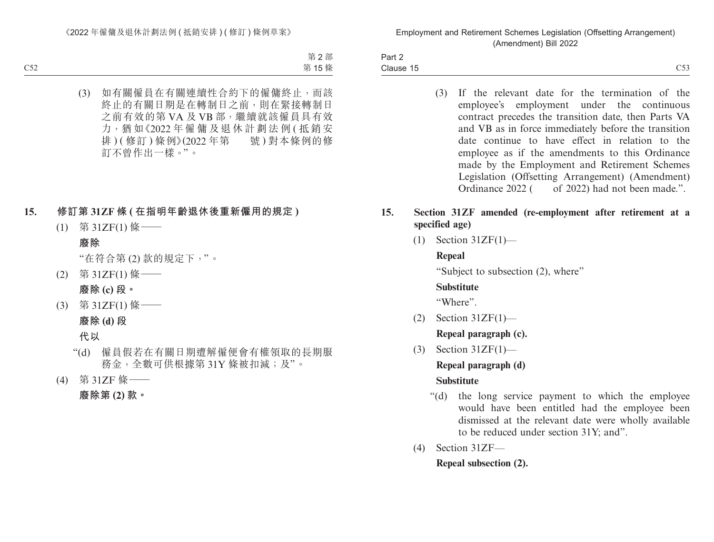Part 2 Clause 15  $\epsilon$  Clause 15  $\epsilon$ 

> (3) If the relevant date for the termination of the employee's employment under the continuous contract precedes the transition date, then Parts VA and VB as in force immediately before the transition date continue to have effect in relation to the employee as if the amendments to this Ordinance made by the Employment and Retirement Schemes Legislation (Offsetting Arrangement) (Amendment) Ordinance 2022 ( of 2022) had not been made.".

## **15. Section 31ZF amended (re-employment after retirement at a specified age)**

(1) Section 31ZF(1)—

## **Repeal**

"Subject to subsection (2), where"

## **Substitute**

"Where".

(2) Section 31ZF(1)—

**Repeal paragraph (c).**

(3) Section 31ZF(1)—

**Repeal paragraph (d)**

## **Substitute**

- "(d) the long service payment to which the employee would have been entitled had the employee been dismissed at the relevant date were wholly available to be reduced under section 31Y; and".
- (4) Section 31ZF—

**Repeal subsection (2).**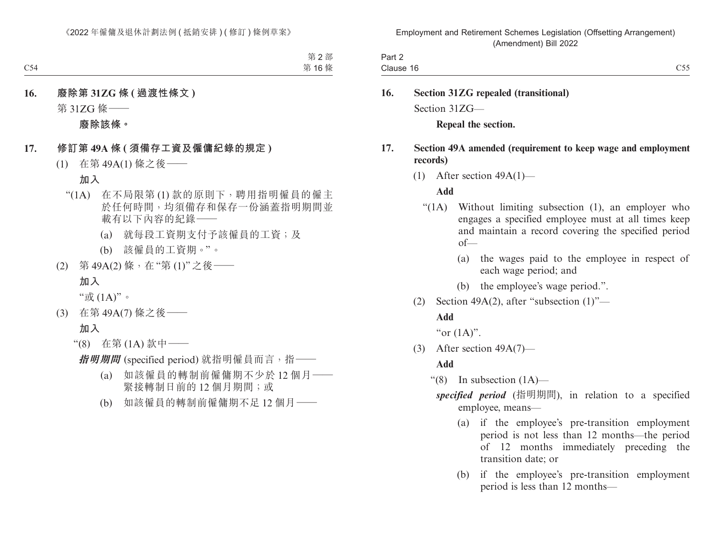| -<br>Part ∠ |                                                                           |
|-------------|---------------------------------------------------------------------------|
| Clause 16   | $- - -$<br>$\smash{\smash{\cup}}\smash{\smash{\cup}}\smash{\smash{\cup}}$ |

**16. Section 31ZG repealed (transitional)** Section 31ZG—

**Repeal the section.**

## **17. Section 49A amended (requirement to keep wage and employment records)**

(1) After section 49A(1)—

## **Add**

- "(1A) Without limiting subsection (1), an employer who engages a specified employee must at all times keep and maintain a record covering the specified period of—
	- (a) the wages paid to the employee in respect of each wage period; and
	- (b) the employee's wage period.".
- (2) Section 49A(2), after "subsection  $(1)$ "—

## **Add**

"or  $(1A)$ ".

(3) After section 49A(7)—

## **Add**

" $(8)$  In subsection  $(1A)$ —

- *specified period* (指明期間), in relation to a specified employee, means—
	- (a) if the employee's pre-transition employment period is not less than 12 months—the period of 12 months immediately preceding the transition date; or
	- (b) if the employee's pre-transition employment period is less than 12 months—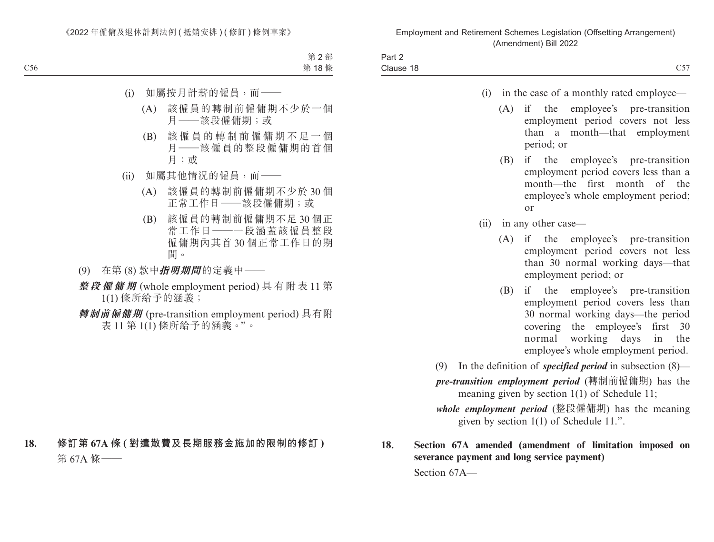| Part 2    |                 |
|-----------|-----------------|
| Clause 18 | C57<br>$\cup$ . |

- (i) in the case of a monthly rated employee—
	- (A) if the employee's pre-transition employment period covers not less than a month—that employment period; or
	- (B) if the employee's pre-transition employment period covers less than a month—the first month of the employee's whole employment period; or
- (ii) in any other case—
	- (A) if the employee's pre-transition employment period covers not less than 30 normal working days—that employment period; or
	- (B) if the employee's pre-transition employment period covers less than 30 normal working days—the period covering the employee's first 30 normal working days in the employee's whole employment period.
- (9) In the definition of *specified period* in subsection (8)—

*pre-transition employment period* (轉制前僱傭期) has the meaning given by section 1(1) of Schedule 11;

*whole employment period* (整段僱傭期) has the meaning given by section 1(1) of Schedule 11.".

**18. Section 67A amended (amendment of limitation imposed on severance payment and long service payment)**

Section 67A—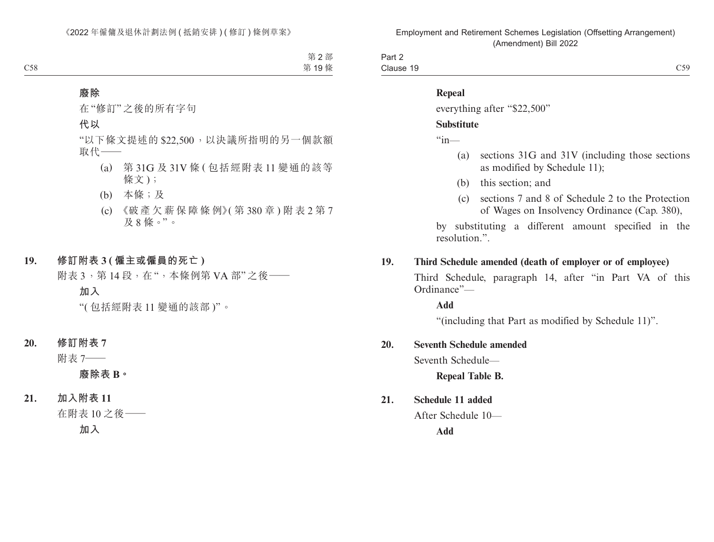Part 2 Clause 19  $\epsilon$  Clause 19  $\epsilon$  C59

## **Repeal**

everything after "\$22,500"

## **Substitute**

 $\frac{a_{\text{in}}}{\text{in}}$ 

- (a) sections 31G and 31V (including those sections as modified by Schedule 11);
- (b) this section; and
- (c) sections 7 and 8 of Schedule 2 to the Protection of Wages on Insolvency Ordinance (Cap. 380),

by substituting a different amount specified in the resolution.".

## **19. Third Schedule amended (death of employer or of employee)**

Third Schedule, paragraph 14, after "in Part VA of this Ordinance"—

**Add**

"(including that Part as modified by Schedule 11)".

## **20. Seventh Schedule amended**

Seventh Schedule—

**Repeal Table B.**

## **21. Schedule 11 added**

After Schedule 10—

**Add**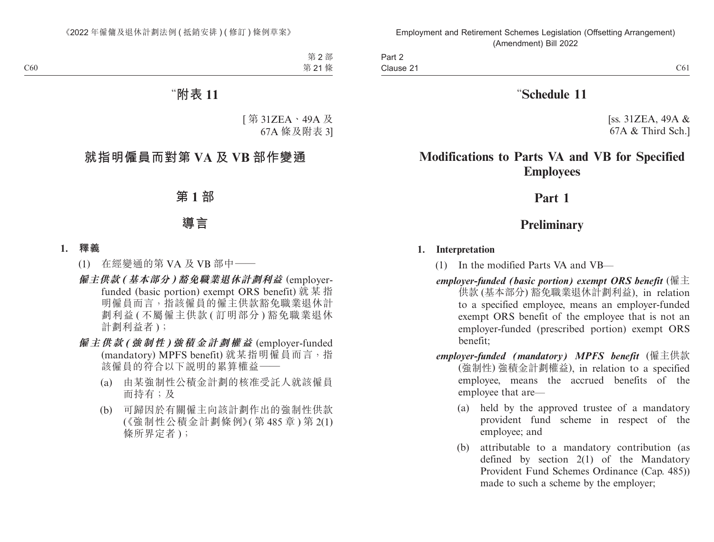Part 2 Clause 21 Clause 21  $\sim$  C61

## "**Schedule 11**

[ss.  $31ZEA$ ,  $49A &$ 67A & Third Sch.]

# **Modifications to Parts VA and VB for Specified Employees**

## **Part 1**

# **Preliminary**

## **1. Interpretation**

- (1) In the modified Parts VA and VB—
- *employer-funded (basic portion) exempt ORS benefit* (僱主 供款 (基本部分) 豁免職業退休計劃利益), in relation to a specified employee, means an employer-funded exempt ORS benefit of the employee that is not an employer-funded (prescribed portion) exempt ORS benefit;
- *employer-funded (mandatory) MPFS benefit* (僱主供款 (強制性) 強積金計劃權益), in relation to a specified employee, means the accrued benefits of the employee that are—
	- (a) held by the approved trustee of a mandatory provident fund scheme in respect of the employee; and
	- (b) attributable to a mandatory contribution (as defined by section 2(1) of the Mandatory Provident Fund Schemes Ordinance (Cap. 485)) made to such a scheme by the employer;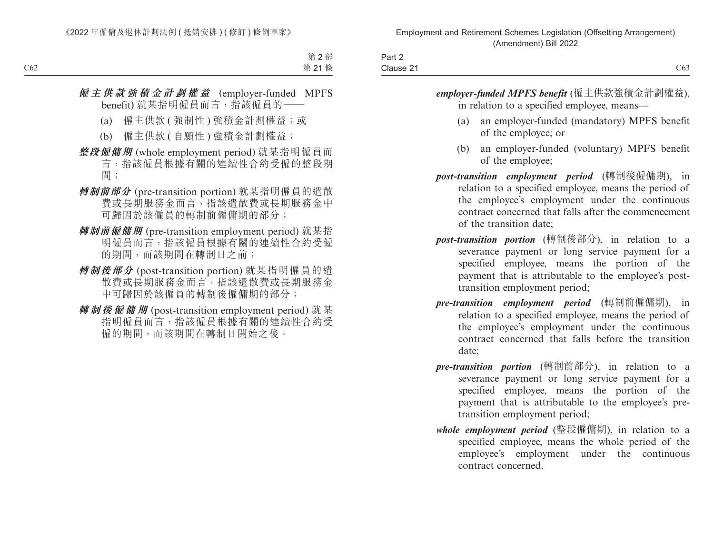| Part 2    |                                |
|-----------|--------------------------------|
| Clause 21 | $\sim$ $\sim$<br>$\bigcirc$ 03 |

*employer-funded MPFS benefit* (僱主供款強積金計劃權益), in relation to a specified employee, means—

- (a) an employer-funded (mandatory) MPFS benefit of the employee; or
- (b) an employer-funded (voluntary) MPFS benefit of the employee;
- *post-transition employment period* (轉制後僱傭期), in relation to a specified employee, means the period of the employee's employment under the continuous contract concerned that falls after the commencement of the transition date;
- *post-transition portion* (轉制後部分), in relation to a severance payment or long service payment for a specified employee, means the portion of the payment that is attributable to the employee's posttransition employment period;
- *pre-transition employment period* (轉制前僱傭期), in relation to a specified employee, means the period of the employee's employment under the continuous contract concerned that falls before the transition date;
- *pre-transition portion* (轉制前部分), in relation to a severance payment or long service payment for a specified employee, means the portion of the payment that is attributable to the employee's pretransition employment period;
- *whole employment period* (整段僱傭期), in relation to a specified employee, means the whole period of the employee's employment under the continuous contract concerned.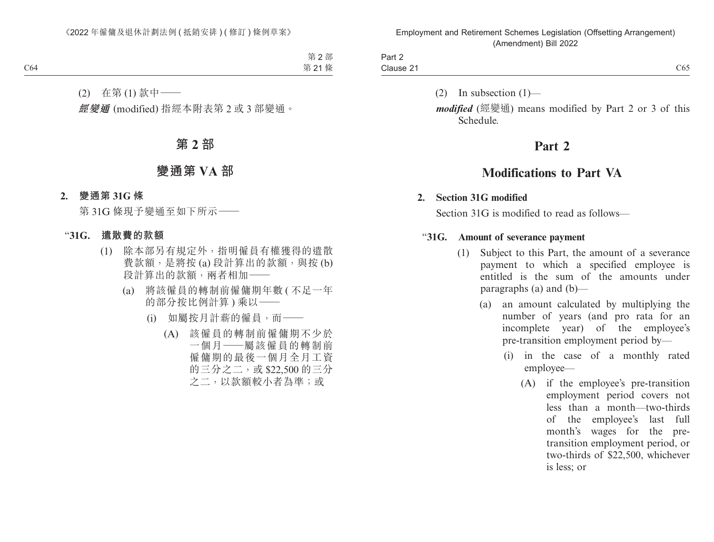| -<br>Part $\geq$ |     |
|------------------|-----|
| Clause 21        | C65 |

(2) In subsection  $(1)$ —

*modified* (經變通) means modified by Part 2 or 3 of this Schedule.

## **Part 2**

# **Modifications to Part VA**

## **2. Section 31G modified**

Section 31G is modified to read as follows—

## "**31G. Amount of severance payment**

- (1) Subject to this Part, the amount of a severance payment to which a specified employee is entitled is the sum of the amounts under paragraphs (a) and (b)—
	- (a) an amount calculated by multiplying the number of years (and pro rata for an incomplete year) of the employee's pre-transition employment period by—
		- (i) in the case of a monthly rated employee—
			- (A) if the employee's pre-transition employment period covers not less than a month—two-thirds of the employee's last full month's wages for the pretransition employment period, or two-thirds of \$22,500, whichever is less; or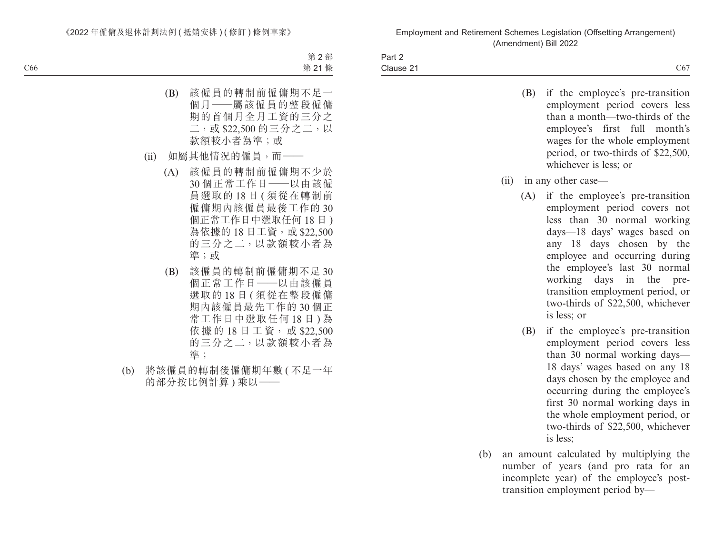Part 2 Clause 21 Clause 21  $C67$ 

- (B) if the employee's pre-transition employment period covers less than a month—two-thirds of the employee's first full month's wages for the whole employment period, or two-thirds of \$22,500, whichever is less; or
- (ii) in any other case—
	- (A) if the employee's pre-transition employment period covers not less than 30 normal working days—18 days' wages based on any 18 days chosen by the employee and occurring during the employee's last 30 normal working days in the pretransition employment period, or two-thirds of \$22,500, whichever is less; or
	- (B) if the employee's pre-transition employment period covers less than 30 normal working days— 18 days' wages based on any 18 days chosen by the employee and occurring during the employee's first 30 normal working days in the whole employment period, or two-thirds of \$22,500, whichever is less;
- (b) an amount calculated by multiplying the number of years (and pro rata for an incomplete year) of the employee's posttransition employment period by—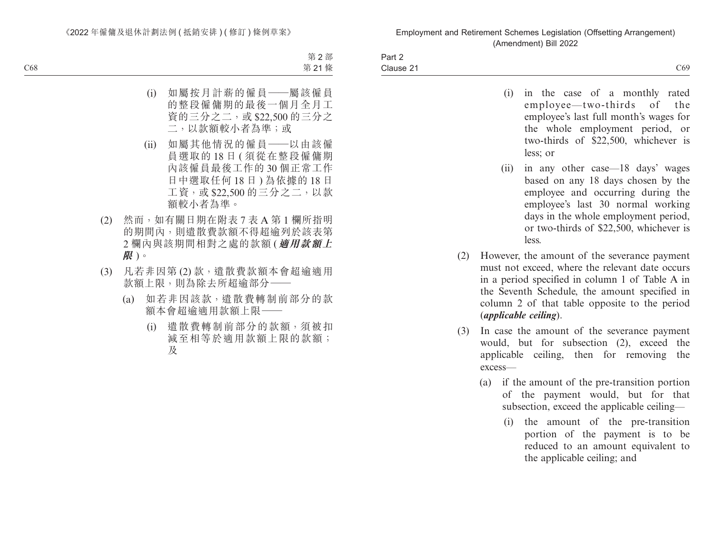| Part 2              |                 |
|---------------------|-----------------|
| $\sim$<br>Clause 21 | $\sim$ 0<br>C69 |

| (i) |          |  |  |  | in the case of a monthly rated         |  |
|-----|----------|--|--|--|----------------------------------------|--|
|     |          |  |  |  | employee—two-thirds of the             |  |
|     |          |  |  |  | employee's last full month's wages for |  |
|     |          |  |  |  | the whole employment period, or        |  |
|     |          |  |  |  | two-thirds of \$22,500, whichever is   |  |
|     | less; or |  |  |  |                                        |  |

- (ii) in any other case—18 days' wages based on any 18 days chosen by the employee and occurring during the employee's last 30 normal working days in the whole employment period, or two-thirds of \$22,500, whichever is less.
- (2) However, the amount of the severance payment must not exceed, where the relevant date occurs in a period specified in column 1 of Table A in the Seventh Schedule, the amount specified in column 2 of that table opposite to the period (*applicable ceiling*).
- (3) In case the amount of the severance payment would, but for subsection (2), exceed the applicable ceiling, then for removing the excess—
	- (a) if the amount of the pre-transition portion of the payment would, but for that subsection, exceed the applicable ceiling—
		- (i) the amount of the pre-transition portion of the payment is to be reduced to an amount equivalent to the applicable ceiling; and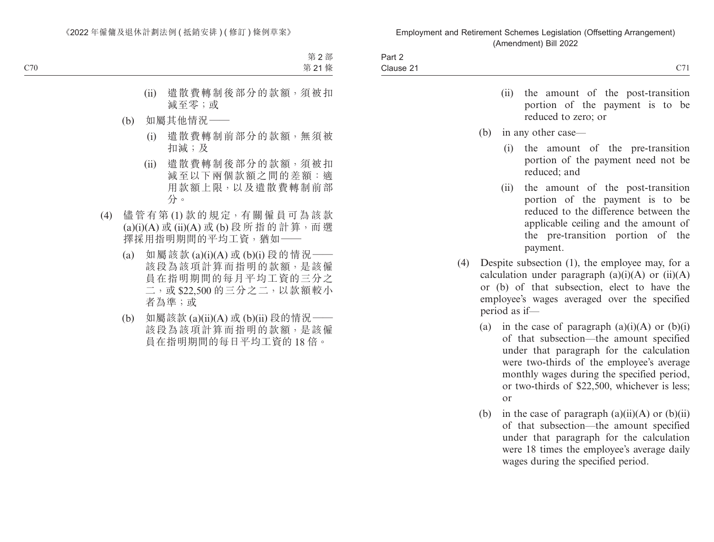| +۵ – ۵<br>-ail 4 |                                       |
|------------------|---------------------------------------|
| - -<br>Clause 21 | $\sim$ $\sim$<br>$\sim$<br><i>- 1</i> |
|                  |                                       |

- (ii) the amount of the post-transition portion of the payment is to be reduced to zero; or
- (b) in any other case—
	- (i) the amount of the pre-transition portion of the payment need not be reduced; and
	- (ii) the amount of the post-transition portion of the payment is to be reduced to the difference between the applicable ceiling and the amount of the pre-transition portion of the payment.
- (4) Despite subsection (1), the employee may, for a calculation under paragraph  $(a)(i)(A)$  or  $(ii)(A)$ or (b) of that subsection, elect to have the employee's wages averaged over the specified period as if—
	- (a) in the case of paragraph  $(a)(i)(A)$  or  $(b)(i)$ of that subsection—the amount specified under that paragraph for the calculation were two-thirds of the employee's average monthly wages during the specified period, or two-thirds of \$22,500, whichever is less; or
	- (b) in the case of paragraph  $(a)(ii)(A)$  or  $(b)(ii)$ of that subsection—the amount specified under that paragraph for the calculation were 18 times the employee's average daily wages during the specified period.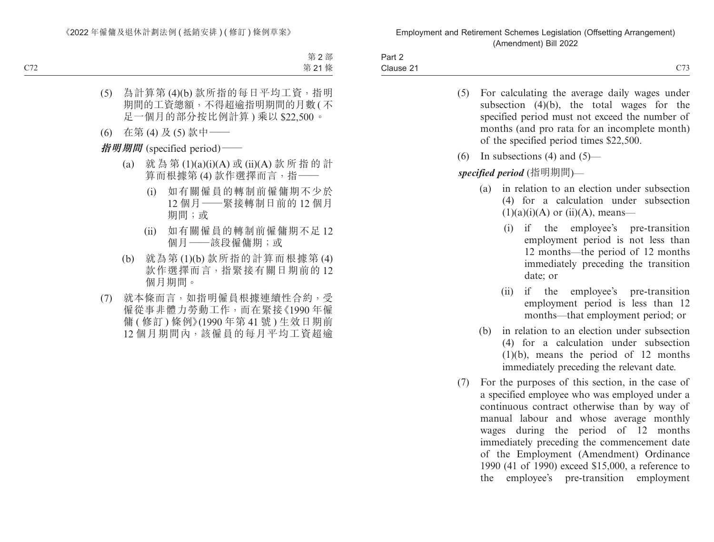| Part ∠                                                                                                                                 |                                       |
|----------------------------------------------------------------------------------------------------------------------------------------|---------------------------------------|
| $\sim$<br>Clause 21<br>the contract of the contract of the contract of the contract of the contract of the contract of the contract of | $\sim$ $\sim$ $\sim$<br>$\sim$ $\sim$ |

- (5) For calculating the average daily wages under subsection (4)(b), the total wages for the specified period must not exceed the number of months (and pro rata for an incomplete month) of the specified period times \$22,500.
- (6) In subsections (4) and  $(5)$ —

## *specified period* (指明期間)—

- (a) in relation to an election under subsection (4) for a calculation under subsection  $(1)(a)(i)(A)$  or  $(ii)(A)$ , means—
	- (i) if the employee's pre-transition employment period is not less than 12 months—the period of 12 months immediately preceding the transition date; or
	- (ii) if the employee's pre-transition employment period is less than 12 months—that employment period; or
- (b) in relation to an election under subsection (4) for a calculation under subsection (1)(b), means the period of 12 months immediately preceding the relevant date.
- (7) For the purposes of this section, in the case of a specified employee who was employed under a continuous contract otherwise than by way of manual labour and whose average monthly wages during the period of 12 months immediately preceding the commencement date of the Employment (Amendment) Ordinance 1990 (41 of 1990) exceed \$15,000, a reference to the employee's pre-transition employment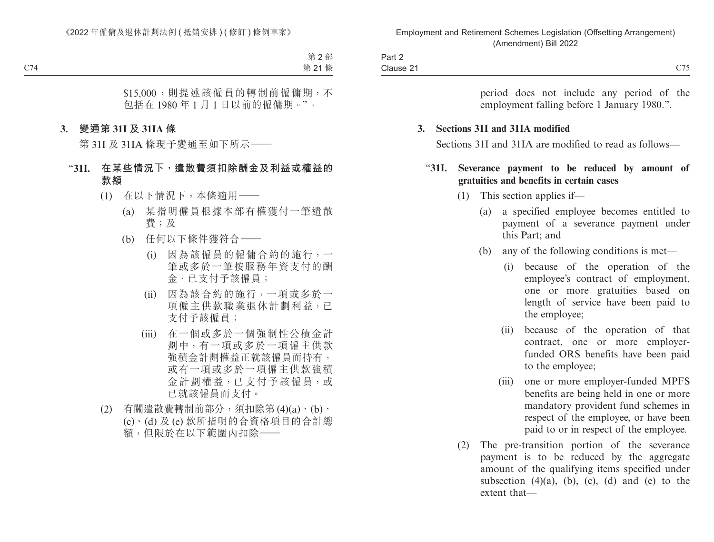| Part 2                         |                                |
|--------------------------------|--------------------------------|
| Clause 21<br>$\sim$ 0.4 $\sim$ | $\sqrt{75}$<br>$\sim$ 1 $\sim$ |

period does not include any period of the employment falling before 1 January 1980.".

#### **3. Sections 31I and 31IA modified**

Sections 31I and 31IA are modified to read as follows—

## "**31I. Severance payment to be reduced by amount of gratuities and benefits in certain cases**

- (1) This section applies if—
	- (a) a specified employee becomes entitled to payment of a severance payment under this Part; and
	- (b) any of the following conditions is met—
		- (i) because of the operation of the employee's contract of employment, one or more gratuities based on length of service have been paid to the employee;
		- (ii) because of the operation of that contract, one or more employerfunded ORS benefits have been paid to the employee;
		- (iii) one or more employer-funded MPFS benefits are being held in one or more mandatory provident fund schemes in respect of the employee, or have been paid to or in respect of the employee.
- (2) The pre-transition portion of the severance payment is to be reduced by the aggregate amount of the qualifying items specified under subsection  $(4)(a)$ ,  $(b)$ ,  $(c)$ ,  $(d)$  and  $(e)$  to the extent that—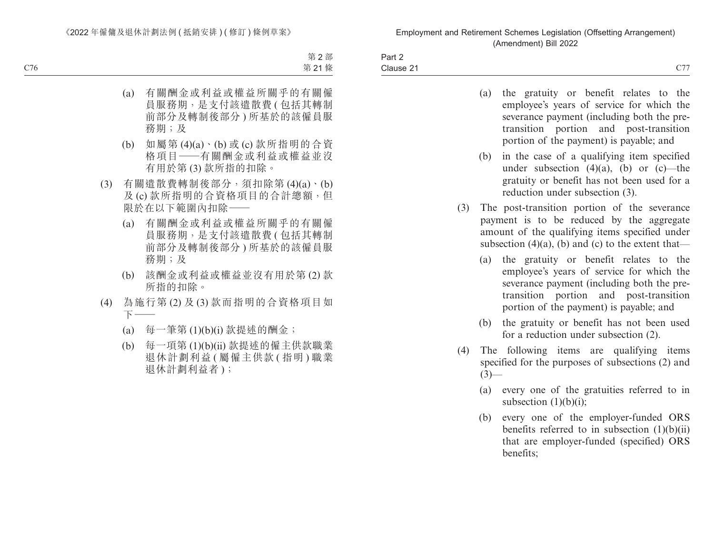| Part 2    |                             |
|-----------|-----------------------------|
| Clause 21 | $\sim$ $\sim$<br>$\sim$ , , |

| (a) | the gratuity or benefit relates to the      |
|-----|---------------------------------------------|
|     | employee's years of service for which the   |
|     | severance payment (including both the pre-  |
|     | transition portion and post-transition      |
|     | portion of the payment) is payable; and     |
| (b) | in the case of a qualifying item specified  |
|     | under subsection $(4)(a)$ , (b) or (c)—the  |
|     | gratuity or benefit has not been used for a |

(3) The post-transition portion of the severance payment is to be reduced by the aggregate amount of the qualifying items specified under subsection  $(4)(a)$ ,  $(b)$  and  $(c)$  to the extent that—

reduction under subsection (3).

- (a) the gratuity or benefit relates to the employee's years of service for which the severance payment (including both the pretransition portion and post-transition portion of the payment) is payable; and
- (b) the gratuity or benefit has not been used for a reduction under subsection (2).
- (4) The following items are qualifying items specified for the purposes of subsections (2) and  $(3)$ —
	- (a) every one of the gratuities referred to in subsection  $(1)(b)(i)$ ;
	- (b) every one of the employer-funded ORS benefits referred to in subsection  $(1)(b)(ii)$ that are employer-funded (specified) ORS benefits;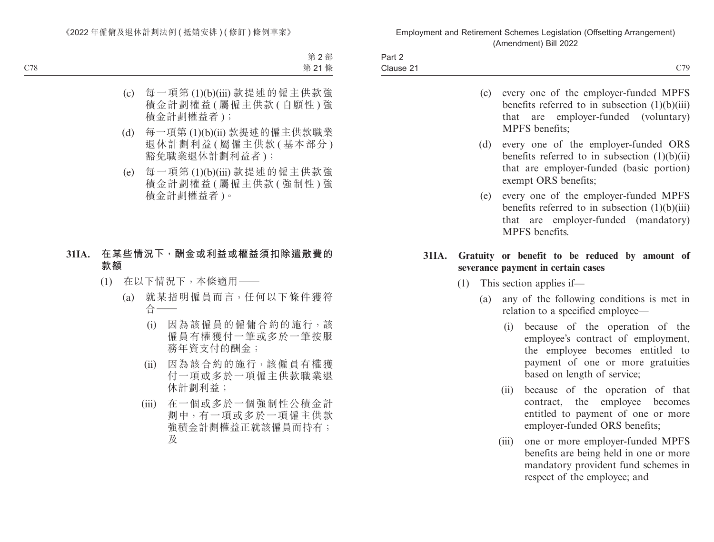| Part 2    |                                                         |
|-----------|---------------------------------------------------------|
| Clause 21 | $\sim$ $\sim$ $\sim$<br>$\overline{1}$<br>$\sim$ $\sim$ |

|  |                | (c) every one of the employer-funded MPFS        |  |
|--|----------------|--------------------------------------------------|--|
|  |                | benefits referred to in subsection $(1)(b)(iii)$ |  |
|  |                | that are employer-funded (voluntary)             |  |
|  | MPFS benefits; |                                                  |  |

- (d) every one of the employer-funded ORS benefits referred to in subsection  $(1)(b)(ii)$ that are employer-funded (basic portion) exempt ORS benefits;
- (e) every one of the employer-funded MPFS benefits referred to in subsection (1)(b)(iii) that are employer-funded (mandatory) MPFS benefits.

### **31IA. Gratuity or benefit to be reduced by amount of severance payment in certain cases**

- (1) This section applies if—
	- (a) any of the following conditions is met in relation to a specified employee—
		- (i) because of the operation of the employee's contract of employment, the employee becomes entitled to payment of one or more gratuities based on length of service;
		- (ii) because of the operation of that contract, the employee becomes entitled to payment of one or more employer-funded ORS benefits;
		- (iii) one or more employer-funded MPFS benefits are being held in one or more mandatory provident fund schemes in respect of the employee; and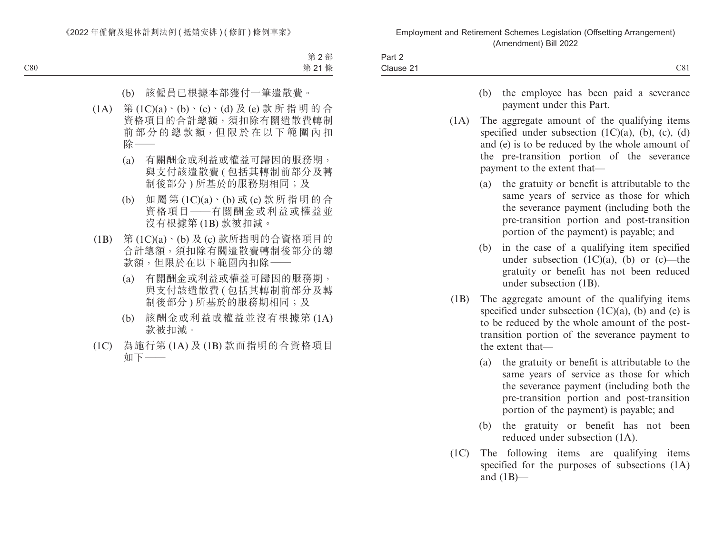| $\sim$ $\sim$<br>۱۵۱۱۹۵٬<br>אמנואר .<br>. | $\sim$<br><br>Dov<br>−ali L |  |
|-------------------------------------------|-----------------------------|--|
|                                           |                             |  |

- (b) the employee has been paid a severance payment under this Part.
- (1A) The aggregate amount of the qualifying items specified under subsection  $(1C)(a)$ ,  $(b)$ ,  $(c)$ ,  $(d)$ and (e) is to be reduced by the whole amount of the pre-transition portion of the severance payment to the extent that—
	- (a) the gratuity or benefit is attributable to the same years of service as those for which the severance payment (including both the pre-transition portion and post-transition portion of the payment) is payable; and
	- (b) in the case of a qualifying item specified under subsection  $(1C)(a)$ ,  $(b)$  or  $(c)$ —the gratuity or benefit has not been reduced under subsection (1B).
- (1B) The aggregate amount of the qualifying items specified under subsection  $(1C)(a)$ ,  $(b)$  and  $(c)$  is to be reduced by the whole amount of the posttransition portion of the severance payment to the extent that—
	- (a) the gratuity or benefit is attributable to the same years of service as those for which the severance payment (including both the pre-transition portion and post-transition portion of the payment) is payable; and
	- (b) the gratuity or benefit has not been reduced under subsection (1A).
- (1C) The following items are qualifying items specified for the purposes of subsections (1A) and  $(1B)$ —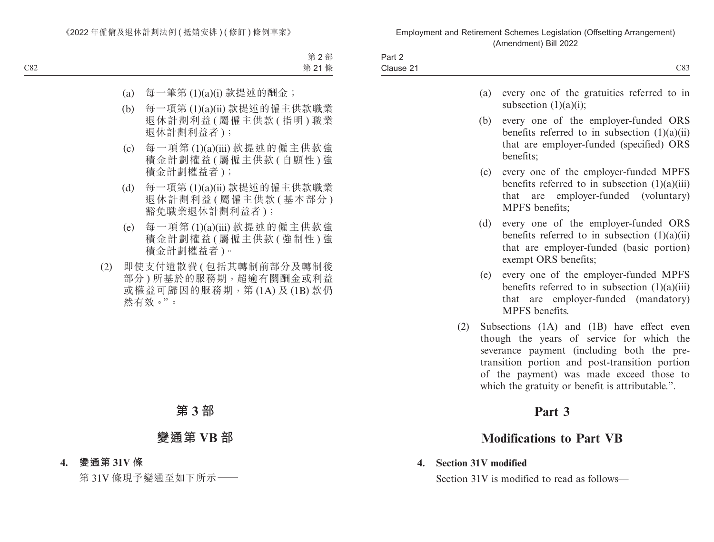|   | $1 - 1$<br>−all ∠                                                                                                                |                           |
|---|----------------------------------------------------------------------------------------------------------------------------------|---------------------------|
| ~ | -<br>Clause 2<br>the contract of the contract of the contract of the contract of the contract of the contract of the contract of | $\sim$ $\sim$<br>$\sim$ u |

- (a) every one of the gratuities referred to in subsection (1)(a)(i);
- (b) every one of the employer-funded ORS benefits referred to in subsection (1)(a)(ii) that are employer-funded (specified) ORS benefits;
- (c) every one of the employer-funded MPFS benefits referred to in subsection (1)(a)(iii) that are employer-funded (voluntary) MPFS benefits;
- (d) every one of the employer-funded ORS benefits referred to in subsection  $(1)(a)(ii)$ that are employer-funded (basic portion) exempt ORS benefits;
- (e) every one of the employer-funded MPFS benefits referred to in subsection  $(1)(a)(iii)$ that are employer-funded (mandatory) MPFS benefits.
- (2) Subsections (1A) and (1B) have effect even though the years of service for which the severance payment (including both the pretransition portion and post-transition portion of the payment) was made exceed those to which the gratuity or benefit is attributable.".

## **Part 3**

# **Modifications to Part VB**

**4. Section 31V modified** Section 31V is modified to read as follows—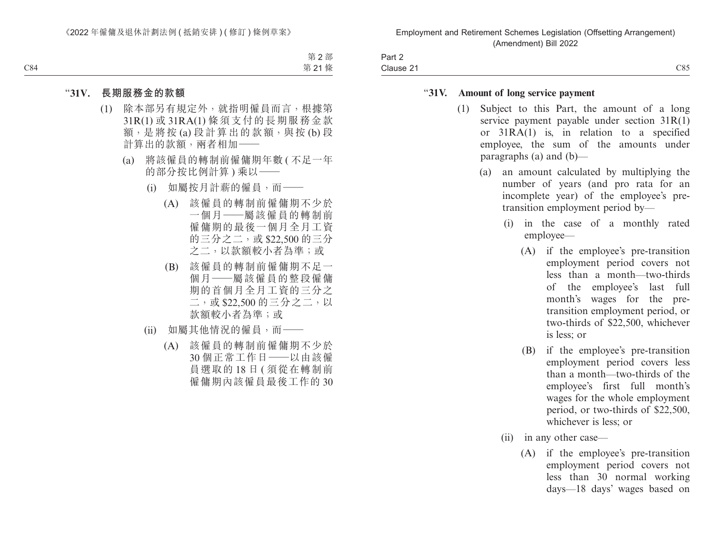| -<br>Part ∠ |             |
|-------------|-------------|
| Clause 2    | $\sim$<br>╯ |

#### "**31V. Amount of long service payment**

- (1) Subject to this Part, the amount of a long service payment payable under section 31R(1) or 31RA(1) is, in relation to a specified employee, the sum of the amounts under paragraphs (a) and (b)—
	- (a) an amount calculated by multiplying the number of years (and pro rata for an incomplete year) of the employee's pretransition employment period by—
		- (i) in the case of a monthly rated employee—
			- (A) if the employee's pre-transition employment period covers not less than a month—two-thirds of the employee's last full month's wages for the pretransition employment period, or two-thirds of \$22,500, whichever is less; or
			- (B) if the employee's pre-transition employment period covers less than a month—two-thirds of the employee's first full month's wages for the whole employment period, or two-thirds of \$22,500, whichever is less; or
		- (ii) in any other case—
			- (A) if the employee's pre-transition employment period covers not less than 30 normal working days—18 days' wages based on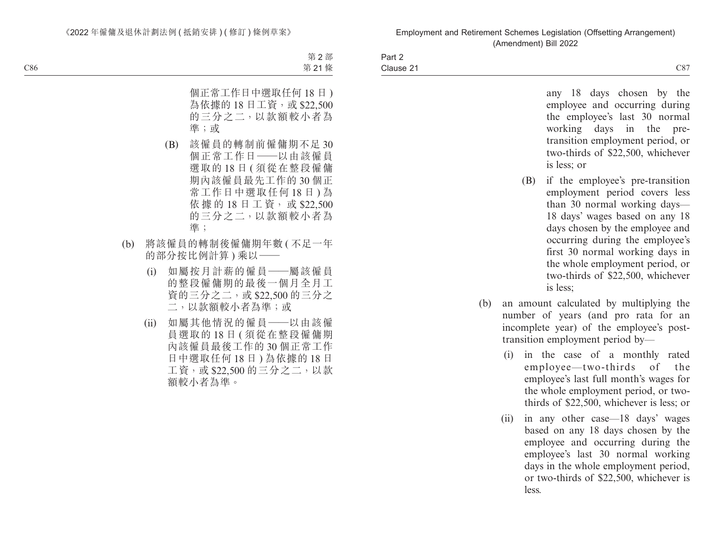Part 2 Clause 21  $\epsilon$  Clause 21  $\epsilon$  C87

> any 18 days chosen by the employee and occurring during the employee's last 30 normal working days in the pretransition employment period, or two-thirds of \$22,500, whichever is less; or

- (B) if the employee's pre-transition employment period covers less than 30 normal working days— 18 days' wages based on any 18 days chosen by the employee and occurring during the employee's first 30 normal working days in the whole employment period, or two-thirds of \$22,500, whichever is less;
- (b) an amount calculated by multiplying the number of years (and pro rata for an incomplete year) of the employee's posttransition employment period by—
	- (i) in the case of a monthly rated employee—two-thirds of the employee's last full month's wages for the whole employment period, or twothirds of \$22,500, whichever is less; or
	- (ii) in any other case—18 days' wages based on any 18 days chosen by the employee and occurring during the employee's last 30 normal working days in the whole employment period, or two-thirds of \$22,500, whichever is less.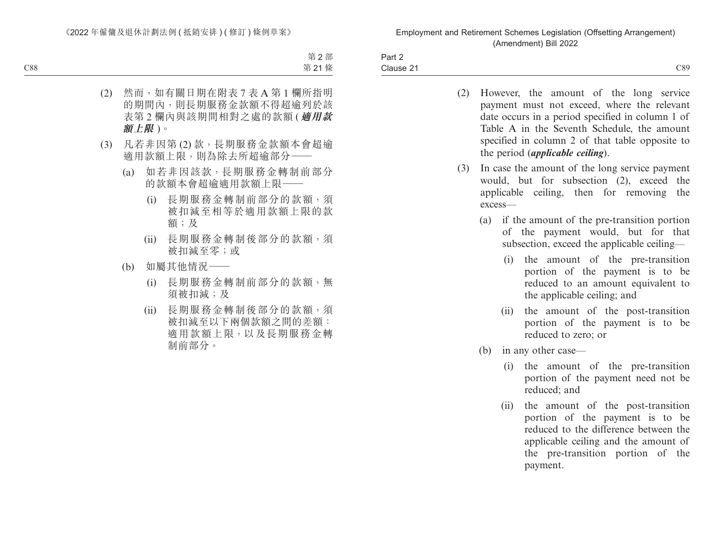| $\sim$<br>Part 2    |     |
|---------------------|-----|
| $\sim$<br>Clause 21 | C89 |

- (2) However, the amount of the long service payment must not exceed, where the relevant date occurs in a period specified in column 1 of Table A in the Seventh Schedule, the amount specified in column 2 of that table opposite to the period (*applicable ceiling*).
- (3) In case the amount of the long service payment would, but for subsection (2), exceed the applicable ceiling, then for removing the excess—
	- (a) if the amount of the pre-transition portion of the payment would, but for that subsection, exceed the applicable ceiling—
		- (i) the amount of the pre-transition portion of the payment is to be reduced to an amount equivalent to the applicable ceiling; and
		- (ii) the amount of the post-transition portion of the payment is to be reduced to zero; or
	- (b) in any other case—
		- (i) the amount of the pre-transition portion of the payment need not be reduced; and
		- (ii) the amount of the post-transition portion of the payment is to be reduced to the difference between the applicable ceiling and the amount of the pre-transition portion of the payment.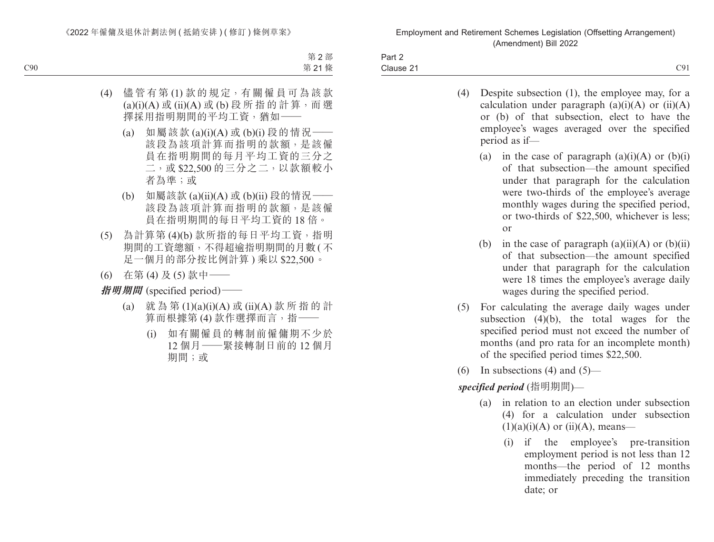| Part 2    |     |
|-----------|-----|
| Clause 21 | C91 |

- (4) Despite subsection (1), the employee may, for a calculation under paragraph  $(a)(i)(A)$  or  $(ii)(A)$ or (b) of that subsection, elect to have the employee's wages averaged over the specified period as if—
	- (a) in the case of paragraph  $(a)(i)(A)$  or  $(b)(i)$ of that subsection—the amount specified under that paragraph for the calculation were two-thirds of the employee's average monthly wages during the specified period, or two-thirds of \$22,500, whichever is less; or
	- (b) in the case of paragraph  $(a)(ii)(A)$  or  $(b)(ii)$ of that subsection—the amount specified under that paragraph for the calculation were 18 times the employee's average daily wages during the specified period.
- (5) For calculating the average daily wages under subsection (4)(b), the total wages for the specified period must not exceed the number of months (and pro rata for an incomplete month) of the specified period times \$22,500.
- (6) In subsections (4) and  $(5)$ —

*specified period* (指明期間)—

- (a) in relation to an election under subsection (4) for a calculation under subsection  $(1)(a)(i)(A)$  or  $(ii)(A)$ , means—
	- (i) if the employee's pre-transition employment period is not less than 12 months—the period of 12 months immediately preceding the transition date; or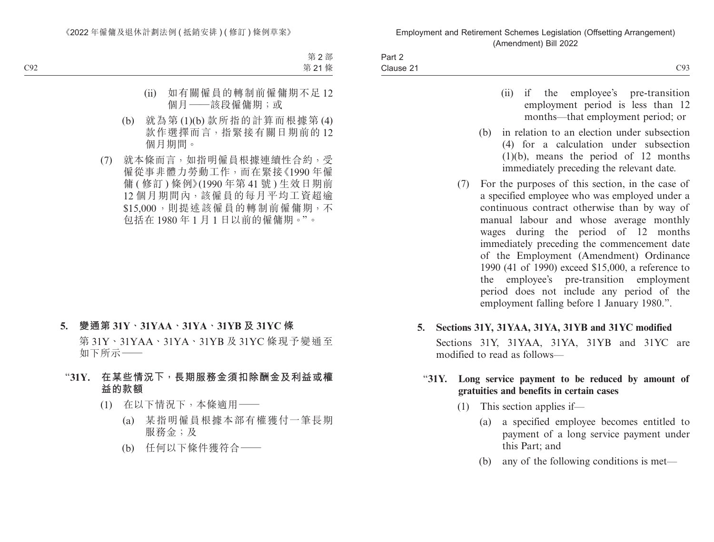| Part 2    |     |
|-----------|-----|
| Clause 21 | C93 |

- (ii) if the employee's pre-transition employment period is less than 12 months—that employment period; or
- (b) in relation to an election under subsection (4) for a calculation under subsection (1)(b), means the period of 12 months immediately preceding the relevant date.
- (7) For the purposes of this section, in the case of a specified employee who was employed under a continuous contract otherwise than by way of manual labour and whose average monthly wages during the period of 12 months immediately preceding the commencement date of the Employment (Amendment) Ordinance 1990 (41 of 1990) exceed \$15,000, a reference to the employee's pre-transition employment period does not include any period of the employment falling before 1 January 1980.".
- **5. Sections 31Y, 31YAA, 31YA, 31YB and 31YC modified** Sections 31Y, 31YAA, 31YA, 31YB and 31YC are modified to read as follows—

### "**31Y. Long service payment to be reduced by amount of gratuities and benefits in certain cases**

- (1) This section applies if—
	- (a) a specified employee becomes entitled to payment of a long service payment under this Part; and
	- (b) any of the following conditions is met—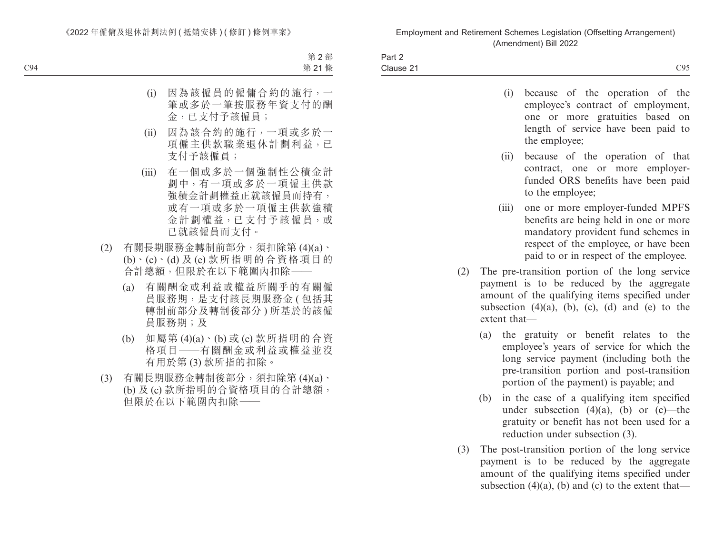| Part 2    |     |
|-----------|-----|
| Clause 21 | C95 |

- (i) because of the operation of the employee's contract of employment, one or more gratuities based on length of service have been paid to the employee;
- (ii) because of the operation of that contract, one or more employerfunded ORS benefits have been paid to the employee;
- (iii) one or more employer-funded MPFS benefits are being held in one or more mandatory provident fund schemes in respect of the employee, or have been paid to or in respect of the employee.
- (2) The pre-transition portion of the long service payment is to be reduced by the aggregate amount of the qualifying items specified under subsection  $(4)(a)$ ,  $(b)$ ,  $(c)$ ,  $(d)$  and  $(e)$  to the extent that—
	- (a) the gratuity or benefit relates to the employee's years of service for which the long service payment (including both the pre-transition portion and post-transition portion of the payment) is payable; and
	- (b) in the case of a qualifying item specified under subsection  $(4)(a)$ ,  $(b)$  or  $(c)$ —the gratuity or benefit has not been used for a reduction under subsection (3).
- (3) The post-transition portion of the long service payment is to be reduced by the aggregate amount of the qualifying items specified under subsection  $(4)(a)$ ,  $(b)$  and  $(c)$  to the extent that—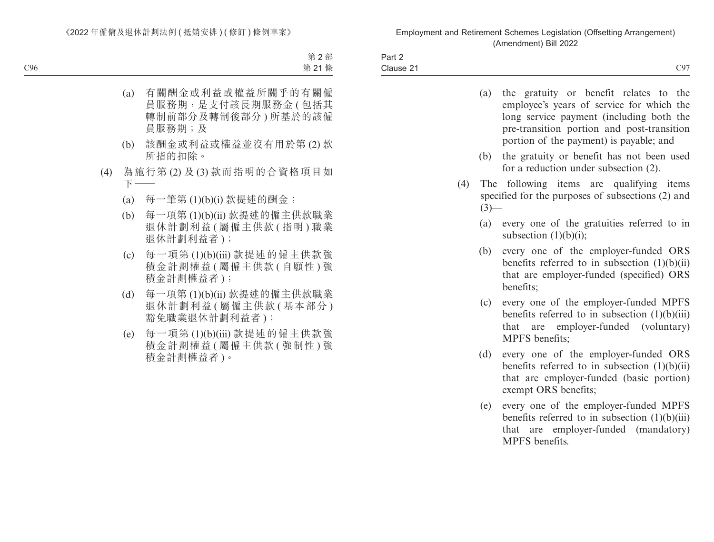| $\sim$ $\sim$<br>Part 2                                                                                                                |                            |
|----------------------------------------------------------------------------------------------------------------------------------------|----------------------------|
| $\sim$<br>Clause 21<br>the contract of the contract of the contract of the contract of the contract of the contract of the contract of | $\overline{C}97$<br>$\sim$ |

|     | (a)     | the gratuity or benefit relates to the<br>employee's years of service for which the<br>long service payment (including both the<br>pre-transition portion and post-transition<br>portion of the payment) is payable; and |
|-----|---------|--------------------------------------------------------------------------------------------------------------------------------------------------------------------------------------------------------------------------|
|     | (b)     | the gratuity or benefit has not been used<br>for a reduction under subsection (2).                                                                                                                                       |
| (4) | $(3)$ — | The following items are qualifying items<br>specified for the purposes of subsections (2) and                                                                                                                            |
|     | (a)     | every one of the gratuities referred to in<br>subsection $(1)(b)(i)$ ;                                                                                                                                                   |
|     | (b)     | every one of the employer-funded ORS<br>benefits referred to in subsection $(1)(b)(ii)$<br>that are employer-funded (specified) ORS<br>benefits;                                                                         |
|     | (c)     | every one of the employer-funded MPFS<br>benefits referred to in subsection $(1)(b)(iii)$<br>that are employer-funded (voluntary)<br>MPFS benefits;                                                                      |
|     | (d)     | every one of the employer-funded ORS<br>benefits referred to in subsection $(1)(b)(ii)$<br>that are employer-funded (basic portion)<br>exempt ORS benefits;                                                              |
|     | (e)     | every one of the employer-funded MPFS<br>benefits referred to in subsection $(1)(b)(iii)$<br>that are employer-funded (mandatory)<br>MPFS benefits.                                                                      |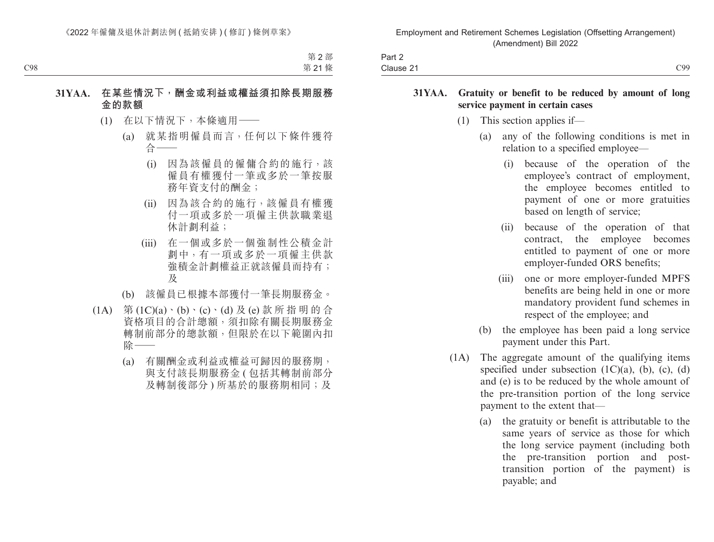| $\overline{\phantom{0}}$<br>Part $\geq$ |                          |
|-----------------------------------------|--------------------------|
| Clause 21                               | $\overline{C}$<br>$\cup$ |

#### **31YAA. Gratuity or benefit to be reduced by amount of long service payment in certain cases**

- (1) This section applies if—
	- (a) any of the following conditions is met in relation to a specified employee—
		- (i) because of the operation of the employee's contract of employment, the employee becomes entitled to payment of one or more gratuities based on length of service;
		- (ii) because of the operation of that contract, the employee becomes entitled to payment of one or more employer-funded ORS benefits;
		- (iii) one or more employer-funded MPFS benefits are being held in one or more mandatory provident fund schemes in respect of the employee; and
	- (b) the employee has been paid a long service payment under this Part.
- (1A) The aggregate amount of the qualifying items specified under subsection  $(1C)(a)$ ,  $(b)$ ,  $(c)$ ,  $(d)$ and (e) is to be reduced by the whole amount of the pre-transition portion of the long service payment to the extent that—
	- (a) the gratuity or benefit is attributable to the same years of service as those for which the long service payment (including both the pre-transition portion and posttransition portion of the payment) is payable; and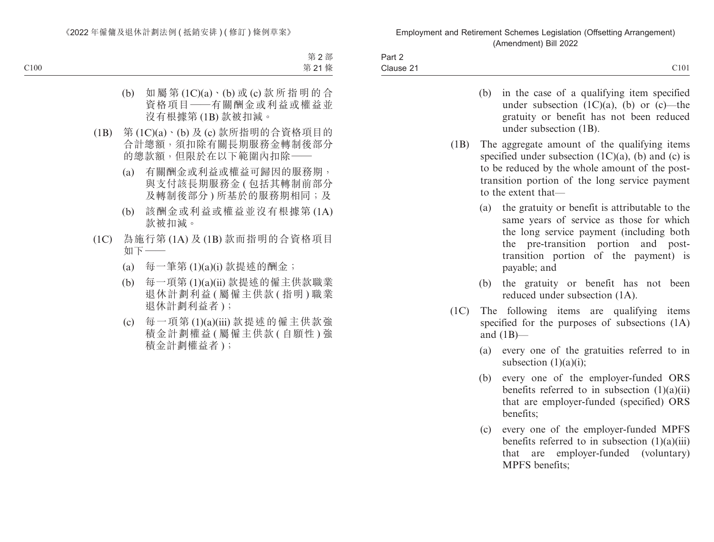| Part 2    |      |
|-----------|------|
| Clause 21 | C101 |

- (b) in the case of a qualifying item specified under subsection  $(1C)(a)$ ,  $(b)$  or  $(c)$ —the gratuity or benefit has not been reduced under subsection (1B).
- (1B) The aggregate amount of the qualifying items specified under subsection  $(1C)(a)$ ,  $(b)$  and  $(c)$  is to be reduced by the whole amount of the posttransition portion of the long service payment to the extent that—
	- (a) the gratuity or benefit is attributable to the same years of service as those for which the long service payment (including both the pre-transition portion and posttransition portion of the payment) is payable; and
	- (b) the gratuity or benefit has not been reduced under subsection (1A).
- (1C) The following items are qualifying items specified for the purposes of subsections (1A) and  $(1B)$ —
	- (a) every one of the gratuities referred to in subsection  $(1)(a)(i)$ ;
	- (b) every one of the employer-funded ORS benefits referred to in subsection (1)(a)(ii) that are employer-funded (specified) ORS benefits;
	- (c) every one of the employer-funded MPFS benefits referred to in subsection  $(1)(a)(iii)$ that are employer-funded (voluntary) MPFS benefits;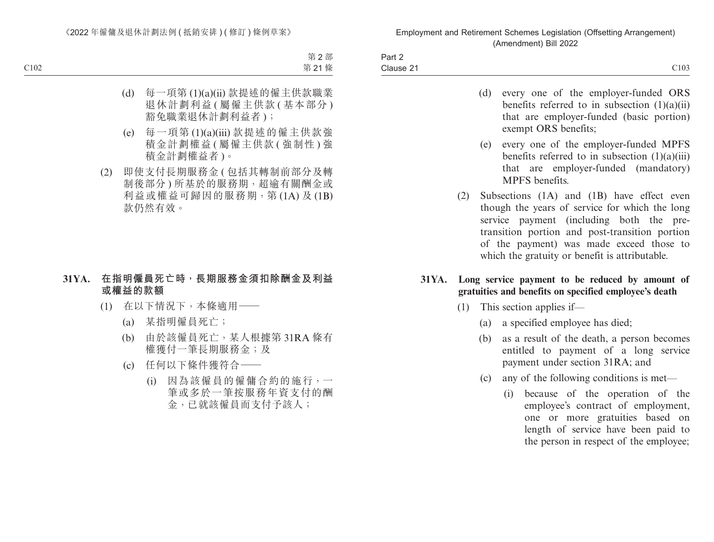| $\sim$<br>Part 2 |      |
|------------------|------|
| Clause 21        | C103 |

- (d) every one of the employer-funded ORS benefits referred to in subsection (1)(a)(ii) that are employer-funded (basic portion) exempt ORS benefits;
- (e) every one of the employer-funded MPFS benefits referred to in subsection (1)(a)(iii) that are employer-funded (mandatory) MPFS benefits.
- (2) Subsections (1A) and (1B) have effect even though the years of service for which the long service payment (including both the pretransition portion and post-transition portion of the payment) was made exceed those to which the gratuity or benefit is attributable.
- **31YA. Long service payment to be reduced by amount of gratuities and benefits on specified employee's death**
	- (1) This section applies if—
		- (a) a specified employee has died;
		- (b) as a result of the death, a person becomes entitled to payment of a long service payment under section 31RA; and
		- (c) any of the following conditions is met—
			- (i) because of the operation of the employee's contract of employment, one or more gratuities based on length of service have been paid to the person in respect of the employee;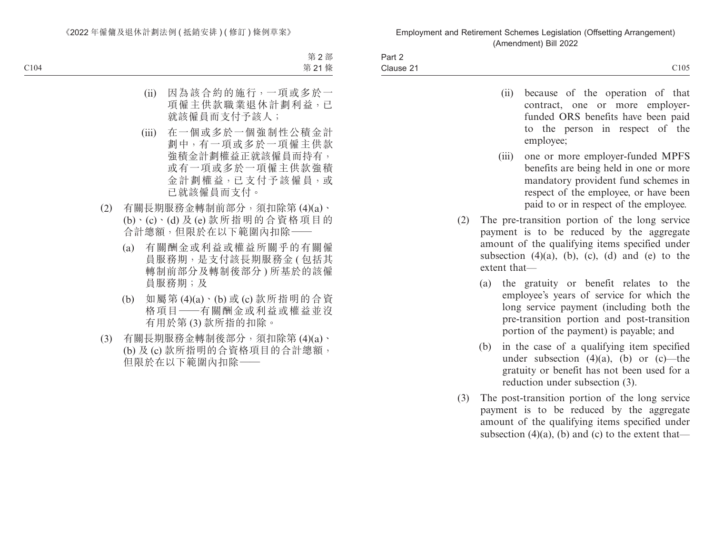| -<br>Part $\sim$                                                |      |
|-----------------------------------------------------------------|------|
| Clause 21<br>$\sim$ . $\sim$ $\sim$ $\sim$ $\sim$ $\sim$ $\sim$ | C105 |
|                                                                 |      |

- (ii) because of the operation of that contract, one or more employerfunded ORS benefits have been paid to the person in respect of the employee;
- (iii) one or more employer-funded MPFS benefits are being held in one or more mandatory provident fund schemes in respect of the employee, or have been paid to or in respect of the employee.
- (2) The pre-transition portion of the long service payment is to be reduced by the aggregate amount of the qualifying items specified under subsection  $(4)(a)$ ,  $(b)$ ,  $(c)$ ,  $(d)$  and  $(e)$  to the extent that—
	- (a) the gratuity or benefit relates to the employee's years of service for which the long service payment (including both the pre-transition portion and post-transition portion of the payment) is payable; and
	- (b) in the case of a qualifying item specified under subsection  $(4)(a)$ ,  $(b)$  or  $(c)$ —the gratuity or benefit has not been used for a reduction under subsection (3).
- (3) The post-transition portion of the long service payment is to be reduced by the aggregate amount of the qualifying items specified under subsection  $(4)(a)$ , (b) and (c) to the extent that—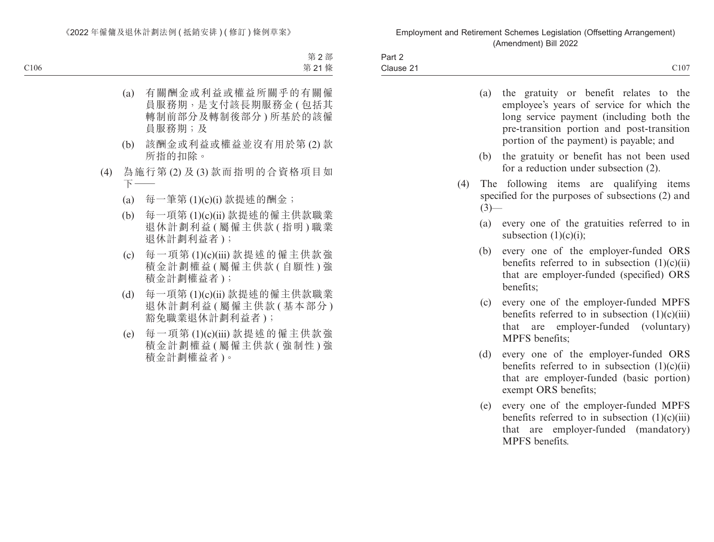| $\sim$<br>$\sim$<br>Part 2                                                                   |      |
|----------------------------------------------------------------------------------------------|------|
| Clause 21<br>the contract of the contract of the contract of the contract of the contract of | C107 |

| (a)<br>the gratuity or benefit relates to the<br>employee's years of service for which the<br>long service payment (including both the<br>pre-transition portion and post-transition<br>portion of the payment) is payable; and |  |
|---------------------------------------------------------------------------------------------------------------------------------------------------------------------------------------------------------------------------------|--|
| (b)<br>the gratuity or benefit has not been used<br>for a reduction under subsection (2).                                                                                                                                       |  |
| (4)<br>The following items are qualifying items<br>specified for the purposes of subsections (2) and<br>$(3)$ —                                                                                                                 |  |
| (a)<br>every one of the gratuities referred to in<br>subsection $(1)(c)(i)$ ;                                                                                                                                                   |  |
| every one of the employer-funded ORS<br>(b)<br>benefits referred to in subsection $(1)(c)(ii)$<br>that are employer-funded (specified) ORS<br>benefits;                                                                         |  |
| every one of the employer-funded MPFS<br>(c)<br>benefits referred to in subsection $(1)(c)(iii)$<br>are employer-funded (voluntary)<br>that<br><b>MPFS</b> benefits;                                                            |  |
| (d)<br>every one of the employer-funded ORS<br>benefits referred to in subsection $(1)(c)(ii)$<br>that are employer-funded (basic portion)<br>exempt ORS benefits;                                                              |  |
| every one of the employer-funded MPFS<br>(e)<br>benefits referred to in subsection $(1)(c)(iii)$<br>are employer-funded (mandatory)<br>that<br>MPFS benefits.                                                                   |  |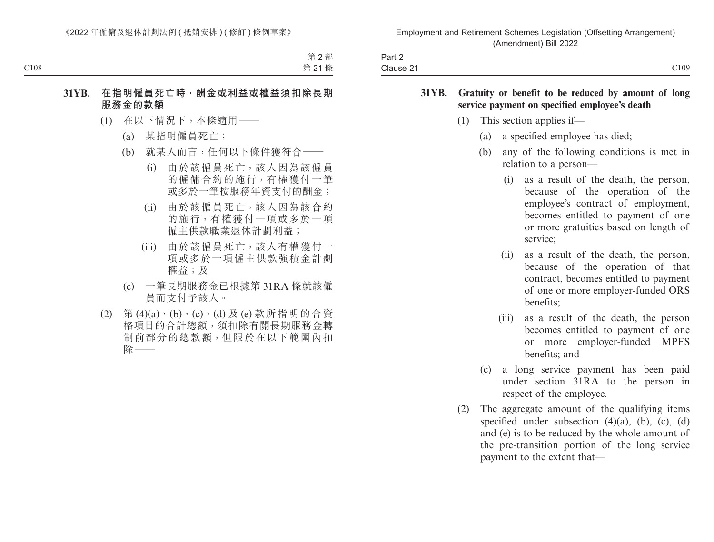| $\sim$ $\sim$<br>$\sim$<br>Part 2 |      |
|-----------------------------------|------|
| Clause 2                          | C109 |

#### **31YB. Gratuity or benefit to be reduced by amount of long service payment on specified employee's death**

- (1) This section applies if—
	- (a) a specified employee has died;
	- (b) any of the following conditions is met in relation to a person—
		- (i) as a result of the death, the person, because of the operation of the employee's contract of employment, becomes entitled to payment of one or more gratuities based on length of service;
		- (ii) as a result of the death, the person, because of the operation of that contract, becomes entitled to payment of one or more employer-funded ORS benefits;
		- (iii) as a result of the death, the person becomes entitled to payment of one or more employer-funded MPFS benefits; and
	- (c) a long service payment has been paid under section 31RA to the person in respect of the employee.
- (2) The aggregate amount of the qualifying items specified under subsection  $(4)(a)$ ,  $(b)$ ,  $(c)$ ,  $(d)$ and (e) is to be reduced by the whole amount of the pre-transition portion of the long service payment to the extent that—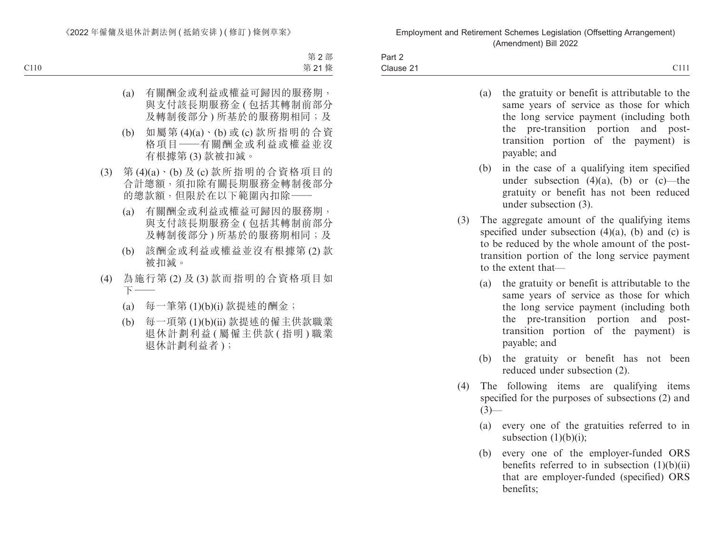| Part 2    |      |
|-----------|------|
| Clause 21 | C111 |

| (a) | the gratuity or benefit is attributable to the |
|-----|------------------------------------------------|
|     | same years of service as those for which       |
|     | the long service payment (including both       |
|     | the pre-transition portion and post-           |
|     | transition portion of the payment) is          |
|     | payable; and                                   |

- (b) in the case of a qualifying item specified under subsection  $(4)(a)$ ,  $(b)$  or  $(c)$ —the gratuity or benefit has not been reduced under subsection (3).
- (3) The aggregate amount of the qualifying items specified under subsection  $(4)(a)$ ,  $(b)$  and  $(c)$  is to be reduced by the whole amount of the posttransition portion of the long service payment to the extent that—
	- (a) the gratuity or benefit is attributable to the same years of service as those for which the long service payment (including both the pre-transition portion and posttransition portion of the payment) is payable; and
	- (b) the gratuity or benefit has not been reduced under subsection (2).
- (4) The following items are qualifying items specified for the purposes of subsections (2) and  $(3)$ —
	- (a) every one of the gratuities referred to in subsection  $(1)(b)(i)$ ;
	- (b) every one of the employer-funded ORS benefits referred to in subsection  $(1)(b)(ii)$ that are employer-funded (specified) ORS benefits;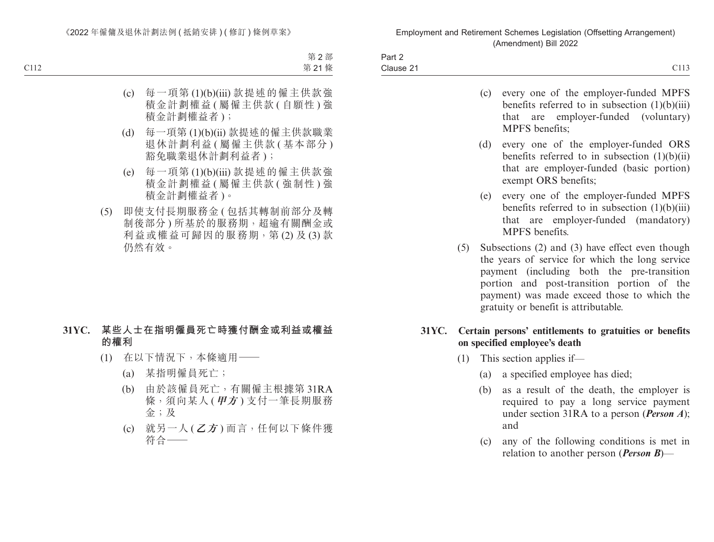| Part ∠                  |                                        |
|-------------------------|----------------------------------------|
| ∽<br>Clause<br><u>_</u> | $\sim$ 1.1 $\sim$<br>$\sim$ 1 1 $\sim$ |

- (c) every one of the employer-funded MPFS benefits referred to in subsection (1)(b)(iii) that are employer-funded (voluntary) MPFS benefits;
- (d) every one of the employer-funded ORS benefits referred to in subsection  $(1)(b)(ii)$ that are employer-funded (basic portion) exempt ORS benefits;
- (e) every one of the employer-funded MPFS benefits referred to in subsection (1)(b)(iii) that are employer-funded (mandatory) MPFS benefits.
- (5) Subsections (2) and (3) have effect even though the years of service for which the long service payment (including both the pre-transition portion and post-transition portion of the payment) was made exceed those to which the gratuity or benefit is attributable.

#### **31YC. Certain persons' entitlements to gratuities or benefits on specified employee's death**

- (1) This section applies if—
	- (a) a specified employee has died;
	- (b) as a result of the death, the employer is required to pay a long service payment under section 31RA to a person (*Person A*); and
	- (c) any of the following conditions is met in relation to another person (*Person B*)—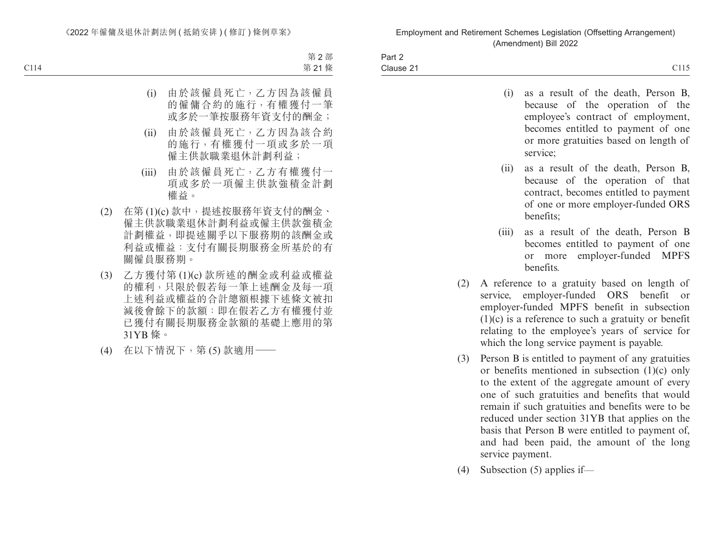| Part 2    |                               |
|-----------|-------------------------------|
| Clause 21 | $\sim$ 1.1 $\sim$<br><u>.</u> |

- (i) as a result of the death, Person B, because of the operation of the employee's contract of employment, becomes entitled to payment of one or more gratuities based on length of service;
- (ii) as a result of the death, Person B, because of the operation of that contract, becomes entitled to payment of one or more employer-funded ORS benefits;
- (iii) as a result of the death, Person B becomes entitled to payment of one or more employer-funded MPFS benefits.
- (2) A reference to a gratuity based on length of service, employer-funded ORS benefit or employer-funded MPFS benefit in subsection (1)(c) is a reference to such a gratuity or benefit relating to the employee's years of service for which the long service payment is payable.
- (3) Person B is entitled to payment of any gratuities or benefits mentioned in subsection (1)(c) only to the extent of the aggregate amount of every one of such gratuities and benefits that would remain if such gratuities and benefits were to be reduced under section 31YB that applies on the basis that Person B were entitled to payment of, and had been paid, the amount of the long service payment.
- (4) Subsection (5) applies if—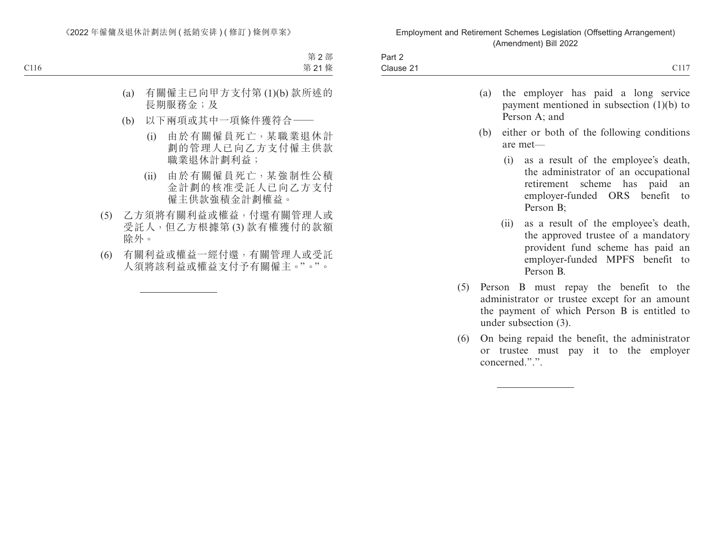| Part 2<br>Clause 21 |
|---------------------|
|                     |
|                     |
|                     |
|                     |
|                     |

<u> 1989 - Johann Barbara, martxa a</u>

(6) On being repaid the benefit, the administrator or trustee must pay it to the employer concerned.".".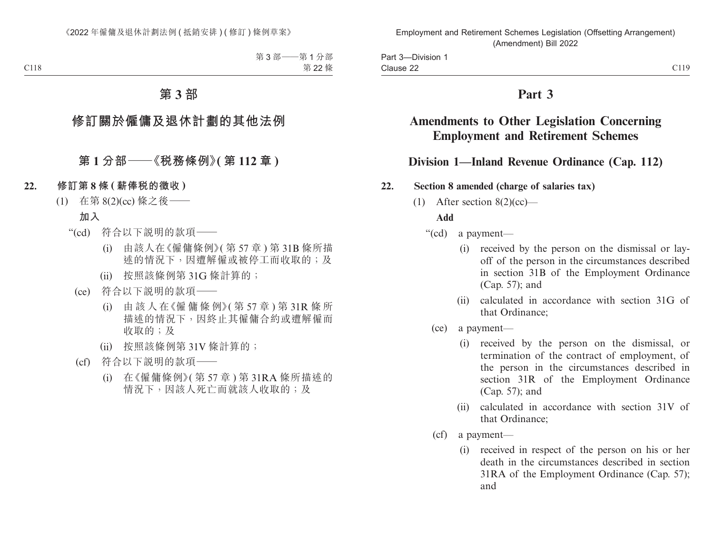# **Part 3**

# **Amendments to Other Legislation Concerning Employment and Retirement Schemes**

# **Division 1—Inland Revenue Ordinance (Cap. 112)**

### **22. Section 8 amended (charge of salaries tax)**

(1) After section  $8(2)(cc)$ —

**Add**

- "(cd) a payment—
	- (i) received by the person on the dismissal or layoff of the person in the circumstances described in section 31B of the Employment Ordinance (Cap. 57); and
	- (ii) calculated in accordance with section 31G of that Ordinance;
	- (ce) a payment—
		- (i) received by the person on the dismissal, or termination of the contract of employment, of the person in the circumstances described in section 31R of the Employment Ordinance (Cap. 57); and
		- (ii) calculated in accordance with section 31V of that Ordinance;
	- (cf) a payment—
		- (i) received in respect of the person on his or her death in the circumstances described in section 31RA of the Employment Ordinance (Cap. 57); and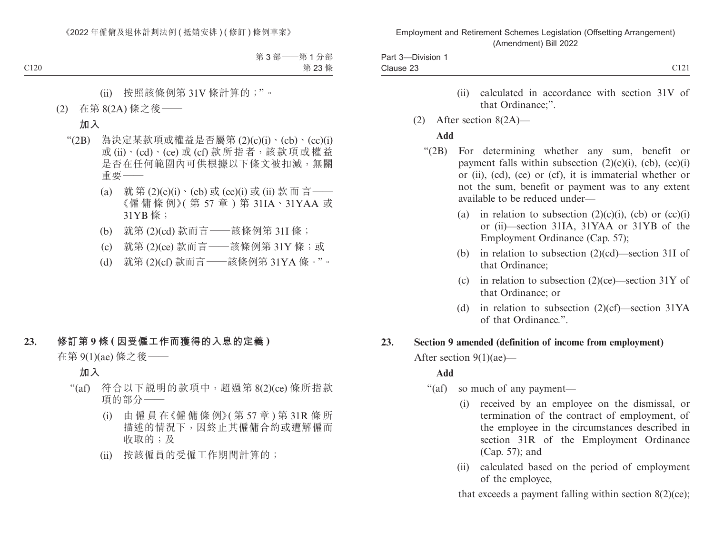| $\sim$<br>120r<br>Division<br>ʻdl<br>. |                  |
|----------------------------------------|------------------|
| $\sim$ $\sim$<br>Clause<br>$-$         | $\bigcap$<br>◡⊥∠ |

- (ii) calculated in accordance with section 31V of that Ordinance;".
- (2) After section 8(2A)—

### **Add**

- "(2B) For determining whether any sum, benefit or payment falls within subsection  $(2)(c)(i)$ ,  $(cb)$ ,  $(cc)(i)$ or (ii), (cd), (ce) or (cf), it is immaterial whether or not the sum, benefit or payment was to any extent available to be reduced under—
	- (a) in relation to subsection  $(2)(c)(i)$ ,  $(cb)$  or  $(cc)(i)$ or (ii)—section 31IA, 31YAA or 31YB of the Employment Ordinance (Cap. 57);
	- (b) in relation to subsection (2)(cd)—section 31I of that Ordinance;
	- (c) in relation to subsection  $(2)(ce)$ —section 31Y of that Ordinance; or
	- (d) in relation to subsection (2)(cf)—section 31YA of that Ordinance.".

#### **23. Section 9 amended (definition of income from employment)**

After section 9(1)(ae)—

### **Add**

"(af) so much of any payment—

- (i) received by an employee on the dismissal, or termination of the contract of employment, of the employee in the circumstances described in section 31R of the Employment Ordinance (Cap. 57); and
- (ii) calculated based on the period of employment of the employee,

that exceeds a payment falling within section  $8(2)(ce)$ ;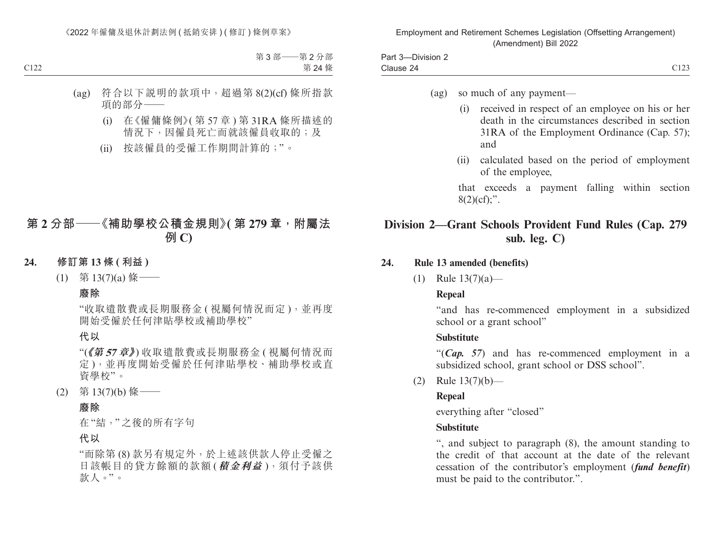| $-$<br>Part<br>Division- |                  |
|--------------------------|------------------|
| -<br>Clause 24           | 0.102<br>- - - - |

- (ag) so much of any payment—
	- (i) received in respect of an employee on his or her death in the circumstances described in section 31RA of the Employment Ordinance (Cap. 57); and
	- (ii) calculated based on the period of employment of the employee,

that exceeds a payment falling within section  $8(2)(cf)$ ;".

## **Division 2—Grant Schools Provident Fund Rules (Cap. 279 sub. leg. C)**

- **24. Rule 13 amended (benefits)**
	- (1) Rule 13(7)(a)—

#### **Repeal**

"and has re-commenced employment in a subsidized school or a grant school"

#### **Substitute**

"(*Cap. 57*) and has re-commenced employment in a subsidized school, grant school or DSS school".

(2) Rule 13(7)(b)—

#### **Repeal**

everything after "closed"

#### **Substitute**

", and subject to paragraph (8), the amount standing to the credit of that account at the date of the relevant cessation of the contributor's employment (*fund benefit*) must be paid to the contributor.".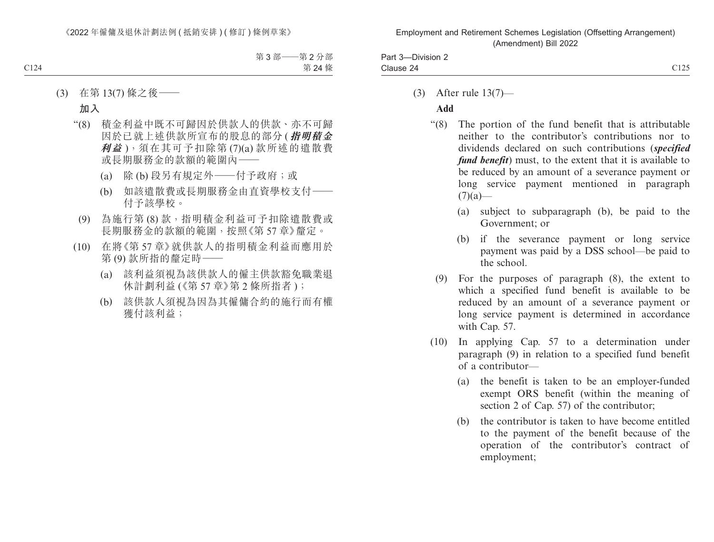| ⊔ort<br>-Division 2<br>aı.<br>. .     |                                |
|---------------------------------------|--------------------------------|
| 24 Clause<br>$\overline{\phantom{a}}$ | $\sim$ 1 $\sim$ $\sim$<br>---- |

(3) After rule 13(7)—

### **Add**

- "(8) The portion of the fund benefit that is attributable neither to the contributor's contributions nor to dividends declared on such contributions (*specified fund benefit*) must, to the extent that it is available to be reduced by an amount of a severance payment or long service payment mentioned in paragraph  $(7)(a)$ —
	- (a) subject to subparagraph (b), be paid to the Government; or
	- (b) if the severance payment or long service payment was paid by a DSS school—be paid to the school.
	- (9) For the purposes of paragraph (8), the extent to which a specified fund benefit is available to be reduced by an amount of a severance payment or long service payment is determined in accordance with Cap. 57.
- (10) In applying Cap. 57 to a determination under paragraph (9) in relation to a specified fund benefit of a contributor—
	- (a) the benefit is taken to be an employer-funded exempt ORS benefit (within the meaning of section 2 of Cap. 57) of the contributor;
	- (b) the contributor is taken to have become entitled to the payment of the benefit because of the operation of the contributor's contract of employment;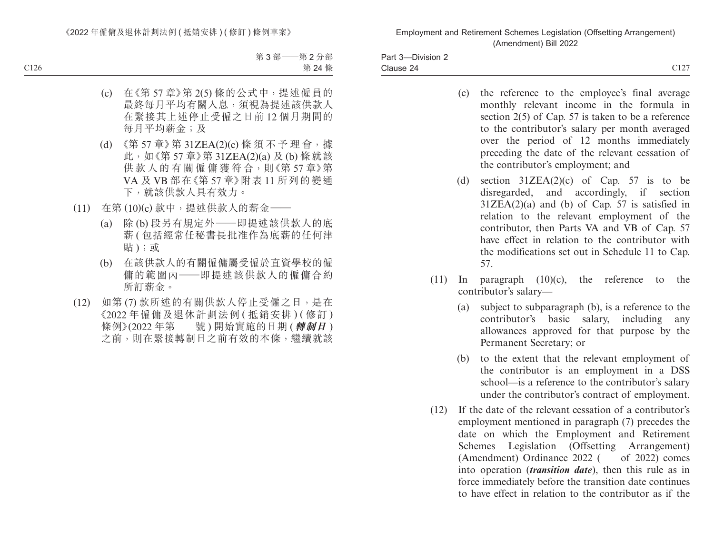Part 3—Division 2 Clause 24  $C127$  Clause 24

- 
- (c) the reference to the employee's final average monthly relevant income in the formula in section 2(5) of Cap. 57 is taken to be a reference to the contributor's salary per month averaged over the period of 12 months immediately preceding the date of the relevant cessation of the contributor's employment; and
- (d) section  $31ZEA(2)(c)$  of Cap. 57 is to be disregarded, and accordingly, if section  $31ZEA(2)(a)$  and (b) of Cap. 57 is satisfied in relation to the relevant employment of the contributor, then Parts VA and VB of Cap. 57 have effect in relation to the contributor with the modifications set out in Schedule 11 to Cap. 57.
- (11) In paragraph  $(10)(c)$ , the reference to the contributor's salary—
	- (a) subject to subparagraph (b), is a reference to the contributor's basic salary, including any allowances approved for that purpose by the Permanent Secretary; or
	- (b) to the extent that the relevant employment of the contributor is an employment in a DSS school—is a reference to the contributor's salary under the contributor's contract of employment.
- (12) If the date of the relevant cessation of a contributor's employment mentioned in paragraph (7) precedes the date on which the Employment and Retirement Schemes Legislation (Offsetting Arrangement)  $(Amendment)$  Ordinance 2022  $($  of 2022) comes into operation (*transition date*), then this rule as in force immediately before the transition date continues to have effect in relation to the contributor as if the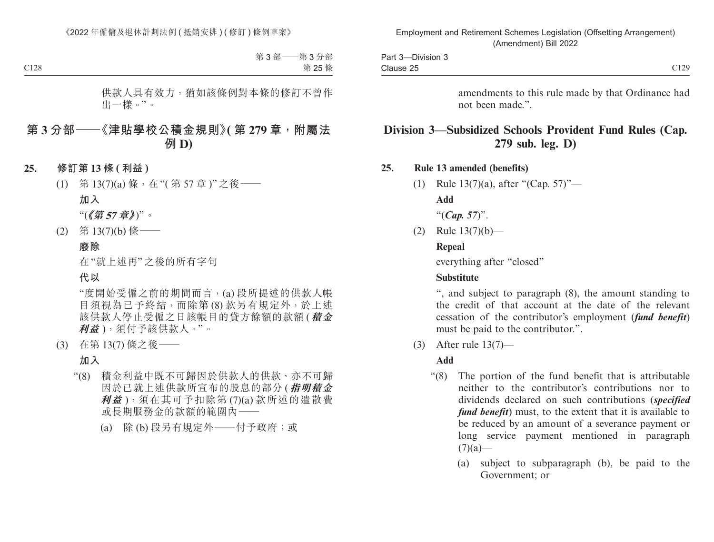| $\sim$<br>-Division 3<br>$D$ ort<br>-art ၁ |                                                |
|--------------------------------------------|------------------------------------------------|
| $\sim$<br>Clause 25                        | $\sim$ 1.00<br>$\overline{\phantom{a}}$<br>◡▴▵ |

amendments to this rule made by that Ordinance had not been made.".

# **Division 3—Subsidized Schools Provident Fund Rules (Cap. 279 sub. leg. D)**

#### **25. Rule 13 amended (benefits)**

(1) Rule 13(7)(a), after "(Cap. 57)"— **Add**

"(*Cap. 57*)".

(2) Rule 13(7)(b)—

#### **Repeal**

everything after "closed"

#### **Substitute**

", and subject to paragraph (8), the amount standing to the credit of that account at the date of the relevant cessation of the contributor's employment (*fund benefit*) must be paid to the contributor.".

(3) After rule 13(7)—

#### **Add**

- "(8) The portion of the fund benefit that is attributable neither to the contributor's contributions nor to dividends declared on such contributions (*specified fund benefit*) must, to the extent that it is available to be reduced by an amount of a severance payment or long service payment mentioned in paragraph  $(7)(a)$ —
	- (a) subject to subparagraph (b), be paid to the Government; or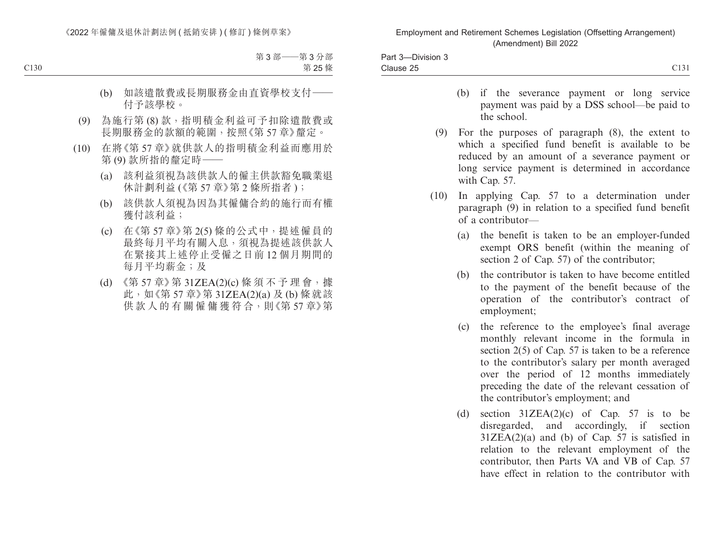| ___<br>$12e^{t}$<br>-Division 3<br>-art ၁ |                       |
|-------------------------------------------|-----------------------|
| $\sim$<br>Clause 25                       | $\bigcap$ 10'<br>◡⊥◡⊥ |

- (b) if the severance payment or long service payment was paid by a DSS school—be paid to the school.
- (9) For the purposes of paragraph (8), the extent to which a specified fund benefit is available to be reduced by an amount of a severance payment or long service payment is determined in accordance with Cap. 57.
- (10) In applying Cap. 57 to a determination under paragraph (9) in relation to a specified fund benefit of a contributor—
	- (a) the benefit is taken to be an employer-funded exempt ORS benefit (within the meaning of section 2 of Cap. 57) of the contributor;
	- (b) the contributor is taken to have become entitled to the payment of the benefit because of the operation of the contributor's contract of employment;
	- (c) the reference to the employee's final average monthly relevant income in the formula in section 2(5) of Cap. 57 is taken to be a reference to the contributor's salary per month averaged over the period of 12 months immediately preceding the date of the relevant cessation of the contributor's employment; and
	- (d) section  $31ZEA(2)(c)$  of Cap. 57 is to be disregarded, and accordingly, if section  $31ZEA(2)(a)$  and (b) of Cap. 57 is satisfied in relation to the relevant employment of the contributor, then Parts VA and VB of Cap. 57 have effect in relation to the contributor with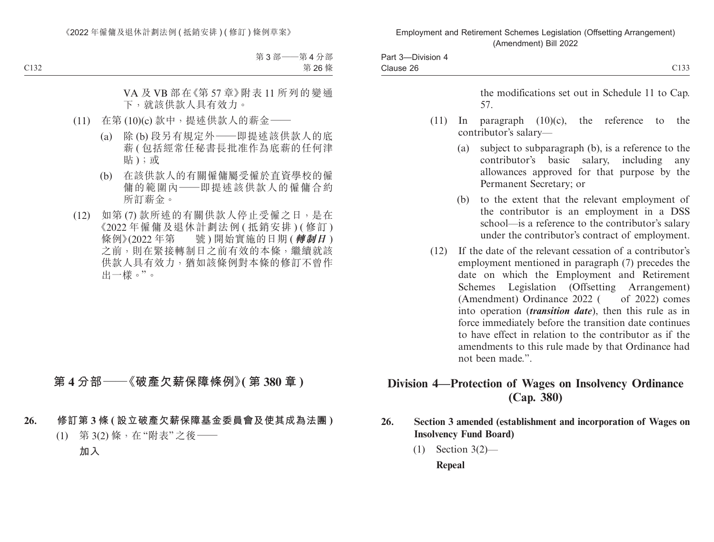| C <sub>133</sub>                                                                                                                                                                                                                                                                                                                                                                                                                                                                                                                     |      | Part 3-Division 4<br>Clause 26 |
|--------------------------------------------------------------------------------------------------------------------------------------------------------------------------------------------------------------------------------------------------------------------------------------------------------------------------------------------------------------------------------------------------------------------------------------------------------------------------------------------------------------------------------------|------|--------------------------------|
| the modifications set out in Schedule 11 to Cap.<br>57.                                                                                                                                                                                                                                                                                                                                                                                                                                                                              |      |                                |
| paragraph $(10)(c)$ ,<br>the reference to<br>the<br>$\ln$<br>contributor's salary-                                                                                                                                                                                                                                                                                                                                                                                                                                                   | (11) |                                |
| subject to subparagraph (b), is a reference to the<br>(a)<br>contributor's basic salary, including<br>any<br>allowances approved for that purpose by the<br>Permanent Secretary; or                                                                                                                                                                                                                                                                                                                                                  |      |                                |
| to the extent that the relevant employment of<br>(b)<br>the contributor is an employment in a DSS<br>school—is a reference to the contributor's salary<br>under the contributor's contract of employment.                                                                                                                                                                                                                                                                                                                            |      |                                |
| If the date of the relevant cessation of a contributor's<br>employment mentioned in paragraph (7) precedes the<br>date on which the Employment and Retirement<br>Schemes Legislation (Offsetting Arrangement)<br>(Amendment) Ordinance 2022 (<br>of $2022$ ) comes<br>into operation ( <i>transition date</i> ), then this rule as in<br>force immediately before the transition date continues<br>to have effect in relation to the contributor as if the<br>amendments to this rule made by that Ordinance had<br>not been made.". | (12) |                                |
| Division 4—Protection of Wages on Insolvency Ordinance<br>(Cap. 380)                                                                                                                                                                                                                                                                                                                                                                                                                                                                 |      |                                |

- **26. Section 3 amended (establishment and incorporation of Wages on Insolvency Fund Board)**
	- (1) Section 3(2)—

**Repeal**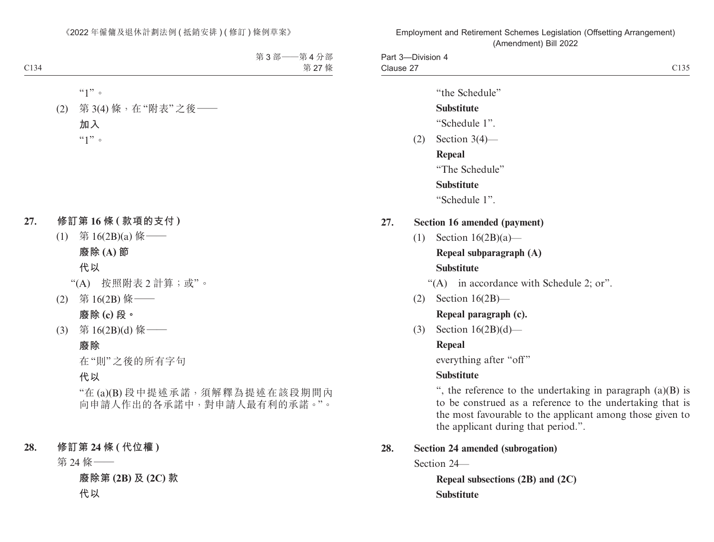Part 3—Division 4 Clause 27 Clause 27 Clause 27 Clause 27 Clause 27 Clause 27 Clause 27 Clause 27 Clause 27 Clause 27 Clause 27 Clause 27

"the Schedule"

## **Substitute**

"Schedule 1".

(2) Section 3(4)—

**Repeal**

"The Schedule"

**Substitute**

"Schedule 1".

## **27. Section 16 amended (payment)**

(1) Section 16(2B)(a)—

## **Repeal subparagraph (A) Substitute**

"(A) in accordance with Schedule 2; or".

(2) Section 16(2B)—

**Repeal paragraph (c).**

(3) Section 16(2B)(d)—

## **Repeal**

everything after "off"

## **Substitute**

", the reference to the undertaking in paragraph (a)(B) is to be construed as a reference to the undertaking that is the most favourable to the applicant among those given to the applicant during that period.".

## **28. Section 24 amended (subrogation)**

Section 24—

**Repeal subsections (2B) and (2C) Substitute**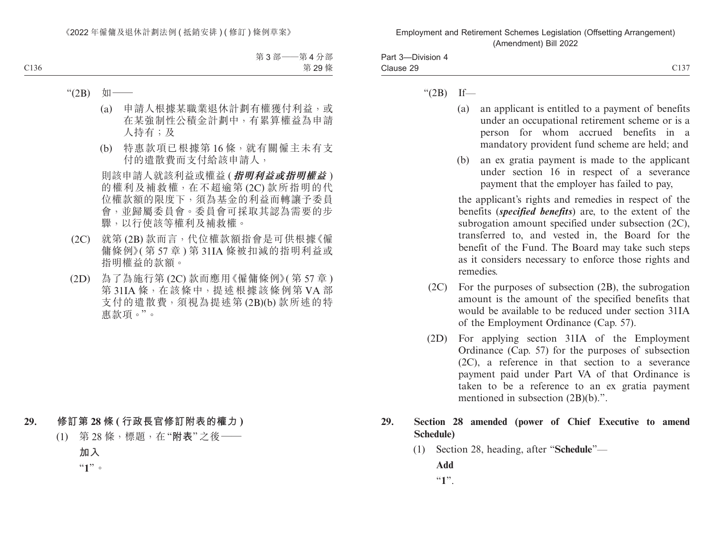| -<br>$Part \circ$<br>-Division |                               |
|--------------------------------|-------------------------------|
| Clause                         | $\sim$ 1.0 $\sim$<br>-4<br>ັ້ |

- " $(2B)$  If—
	- (a) an applicant is entitled to a payment of benefits under an occupational retirement scheme or is a person for whom accrued benefits in a mandatory provident fund scheme are held; and
	- (b) an ex gratia payment is made to the applicant under section 16 in respect of a severance payment that the employer has failed to pay,

the applicant's rights and remedies in respect of the benefits (*specified benefits*) are, to the extent of the subrogation amount specified under subsection (2C), transferred to, and vested in, the Board for the benefit of the Fund. The Board may take such steps as it considers necessary to enforce those rights and remedies.

- (2C) For the purposes of subsection (2B), the subrogation amount is the amount of the specified benefits that would be available to be reduced under section 31IA of the Employment Ordinance (Cap. 57).
- (2D) For applying section 31IA of the Employment Ordinance (Cap. 57) for the purposes of subsection (2C), a reference in that section to a severance payment paid under Part VA of that Ordinance is taken to be a reference to an ex gratia payment mentioned in subsection (2B)(b).".

### **29. Section 28 amended (power of Chief Executive to amend Schedule)**

(1) Section 28, heading, after "**Schedule**"—

**Add**

"**1**".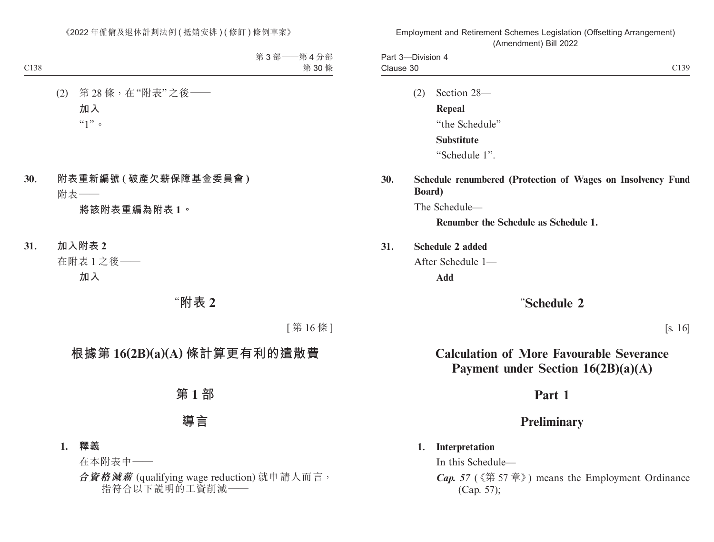Part 3—Division 4 Clause 30 Clause 30 C139

- (2) Section 28— **Repeal** "the Schedule" **Substitute** "Schedule 1".
- **30. Schedule renumbered (Protection of Wages on Insolvency Fund Board)**

The Schedule—

**Renumber the Schedule as Schedule 1.**

**31. Schedule 2 added**

After Schedule 1—

**Add**

# "**Schedule 2**

[s. 16]

# **Calculation of More Favourable Severance Payment under Section 16(2B)(a)(A)**

# **Part 1**

# **Preliminary**

### **1. Interpretation**

In this Schedule—

*Cap. 57* (《第 57 章》) means the Employment Ordinance (Cap. 57);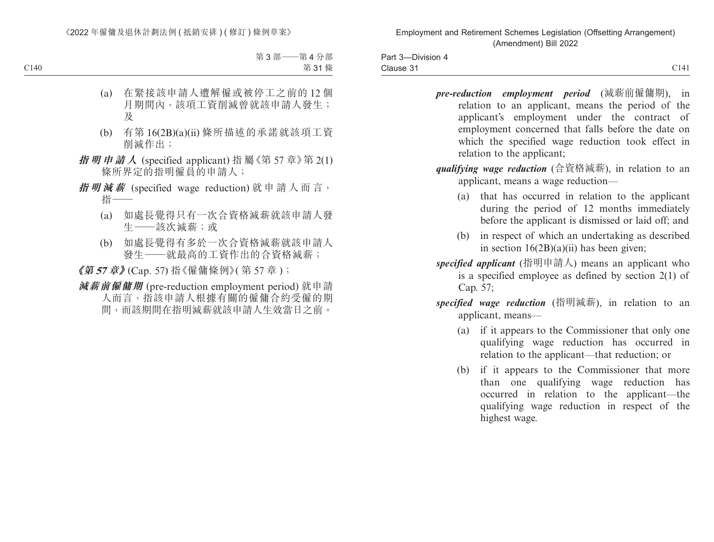| ___<br>Part 3-<br><b>Division</b><br>` |                                      |
|----------------------------------------|--------------------------------------|
| -<br>Clause 31                         | $\sim$ 1 4 1<br>$\mathbf{1}$<br>U141 |

- *pre-reduction employment period* (減薪前僱傭期), in relation to an applicant, means the period of the applicant's employment under the contract of employment concerned that falls before the date on which the specified wage reduction took effect in relation to the applicant;
- *qualifying wage reduction* (合資格減薪), in relation to an applicant, means a wage reduction—
	- (a) that has occurred in relation to the applicant during the period of 12 months immediately before the applicant is dismissed or laid off; and
	- (b) in respect of which an undertaking as described in section  $16(2B)(a)(ii)$  has been given;
- *specified applicant* (指明申請人) means an applicant who is a specified employee as defined by section 2(1) of Cap. 57;
- *specified wage reduction* (指明減薪), in relation to an applicant, means—
	- (a) if it appears to the Commissioner that only one qualifying wage reduction has occurred in relation to the applicant—that reduction; or
	- (b) if it appears to the Commissioner that more than one qualifying wage reduction has occurred in relation to the applicant—the qualifying wage reduction in respect of the highest wage.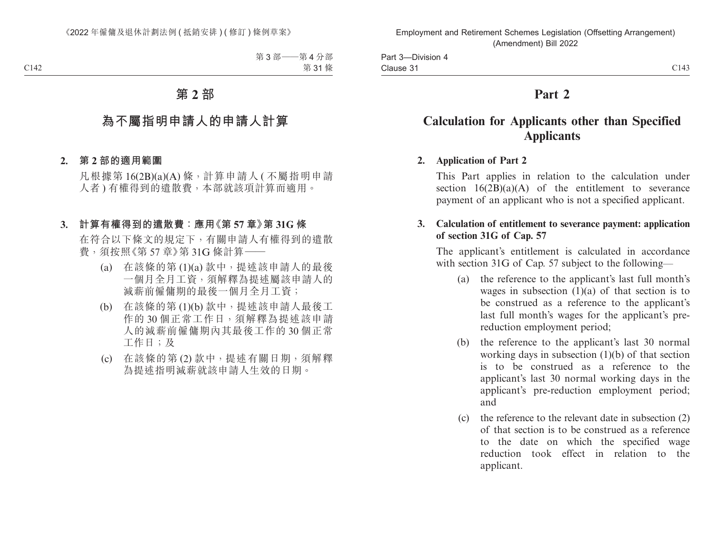# **Part 2**

# **Calculation for Applicants other than Specified Applicants**

## **2. Application of Part 2**

This Part applies in relation to the calculation under section  $16(2B)(a)(A)$  of the entitlement to severance payment of an applicant who is not a specified applicant.

### **3. Calculation of entitlement to severance payment: application of section 31G of Cap. 57**

The applicant's entitlement is calculated in accordance with section 31G of Cap. 57 subject to the following—

- (a) the reference to the applicant's last full month's wages in subsection  $(1)(a)$  of that section is to be construed as a reference to the applicant's last full month's wages for the applicant's prereduction employment period;
- (b) the reference to the applicant's last 30 normal working days in subsection (1)(b) of that section is to be construed as a reference to the applicant's last 30 normal working days in the applicant's pre-reduction employment period; and
- (c) the reference to the relevant date in subsection (2) of that section is to be construed as a reference to the date on which the specified wage reduction took effect in relation to the applicant.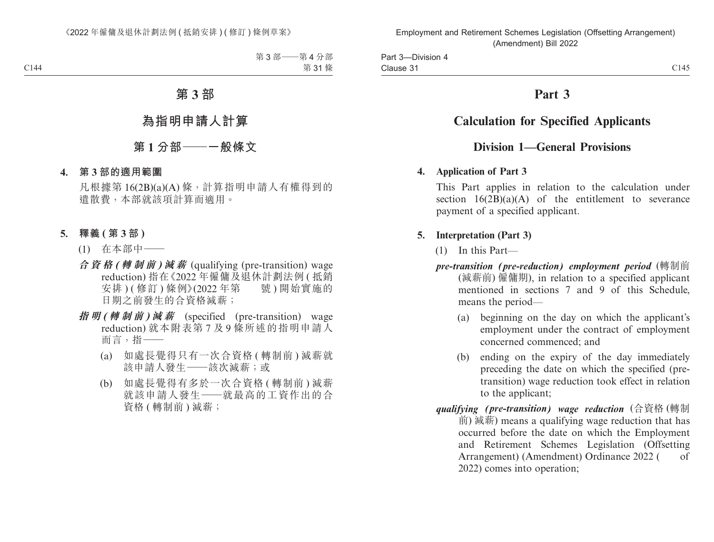# **Part 3**

# **Calculation for Specified Applicants**

## **Division 1—General Provisions**

### **4. Application of Part 3**

This Part applies in relation to the calculation under section  $16(2B)(a)(A)$  of the entitlement to severance payment of a specified applicant.

## **5. Interpretation (Part 3)**

- (1) In this Part—
- *pre-transition (pre-reduction) employment period* (轉制前 (減薪前) 僱傭期), in relation to a specified applicant mentioned in sections 7 and 9 of this Schedule, means the period—
	- (a) beginning on the day on which the applicant's employment under the contract of employment concerned commenced; and
	- (b) ending on the expiry of the day immediately preceding the date on which the specified (pretransition) wage reduction took effect in relation to the applicant;
- *qualifying (pre-transition) wage reduction* (合資格 (轉制 前) 減薪) means a qualifying wage reduction that has occurred before the date on which the Employment and Retirement Schemes Legislation (Offsetting Arrangement) (Amendment) Ordinance 2022 ( of 2022) comes into operation;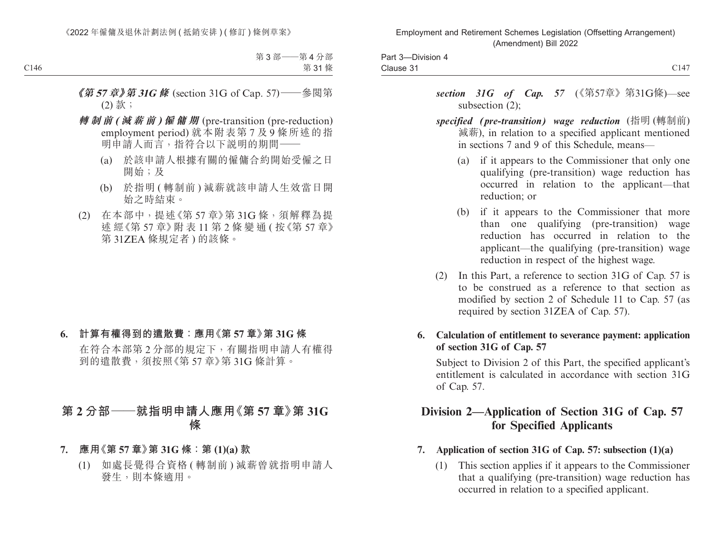| Division<br>Part 3-<br>171 |                    |
|----------------------------|--------------------|
| -<br>Clause 31             | $\cap$ 147<br>U14, |

- section 31G of Cap. 57 (《第57章》第31G條)—see subsection (2);
- *specified (pre-transition) wage reduction* (指明 (轉制前) 減薪), in relation to a specified applicant mentioned in sections 7 and 9 of this Schedule, means—
	- (a) if it appears to the Commissioner that only one qualifying (pre-transition) wage reduction has occurred in relation to the applicant—that reduction; or
	- (b) if it appears to the Commissioner that more than one qualifying (pre-transition) wage reduction has occurred in relation to the applicant—the qualifying (pre-transition) wage reduction in respect of the highest wage.
- (2) In this Part, a reference to section 31G of Cap. 57 is to be construed as a reference to that section as modified by section 2 of Schedule 11 to Cap. 57 (as required by section 31ZEA of Cap. 57).
- **6. Calculation of entitlement to severance payment: application of section 31G of Cap. 57**

Subject to Division 2 of this Part, the specified applicant's entitlement is calculated in accordance with section 31G of Cap. 57.

# **Division 2—Application of Section 31G of Cap. 57 for Specified Applicants**

- **7. Application of section 31G of Cap. 57: subsection (1)(a)**
	- (1) This section applies if it appears to the Commissioner that a qualifying (pre-transition) wage reduction has occurred in relation to a specified applicant.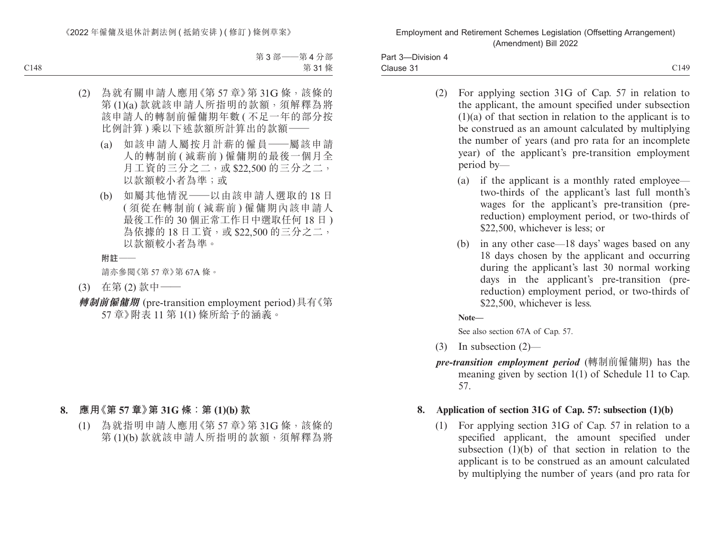Part 3—Division 4 Clause 31 Clause 31 Clause 31

- (2) For applying section 31G of Cap. 57 in relation to the applicant, the amount specified under subsection (1)(a) of that section in relation to the applicant is to be construed as an amount calculated by multiplying the number of years (and pro rata for an incomplete year) of the applicant's pre-transition employment period by—
	- (a) if the applicant is a monthly rated employee two-thirds of the applicant's last full month's wages for the applicant's pre-transition (prereduction) employment period, or two-thirds of \$22,500, whichever is less; or
	- (b) in any other case—18 days' wages based on any 18 days chosen by the applicant and occurring during the applicant's last 30 normal working days in the applicant's pre-transition (prereduction) employment period, or two-thirds of \$22,500, whichever is less.

**Note—**

See also section 67A of Cap. 57.

- (3) In subsection (2)—
- *pre-transition employment period* (轉制前僱傭期) has the meaning given by section 1(1) of Schedule 11 to Cap. 57.

## **8. Application of section 31G of Cap. 57: subsection (1)(b)**

(1) For applying section 31G of Cap. 57 in relation to a specified applicant, the amount specified under subsection (1)(b) of that section in relation to the applicant is to be construed as an amount calculated by multiplying the number of years (and pro rata for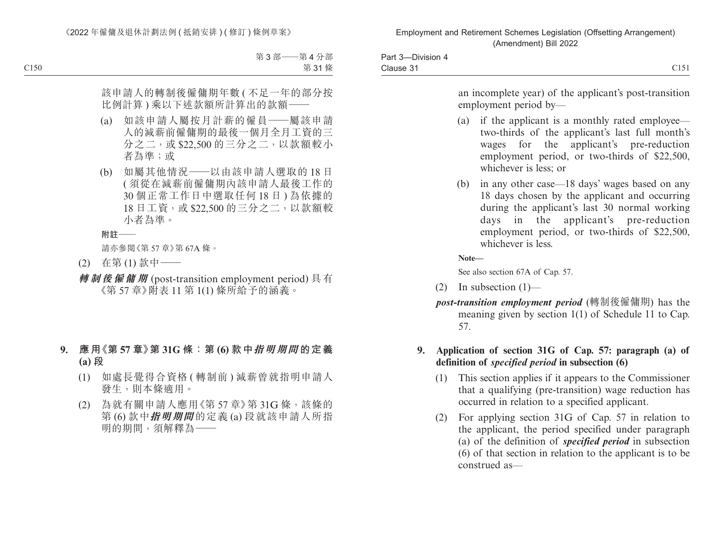| <b>Division</b><br>$\sim$<br>Part 3<br>17I |             |
|--------------------------------------------|-------------|
| -<br>Clause 31                             | C15<br>◡▴◡▴ |

an incomplete year) of the applicant's post-transition employment period by—

- (a) if the applicant is a monthly rated employee two-thirds of the applicant's last full month's wages for the applicant's pre-reduction employment period, or two-thirds of \$22,500, whichever is less; or
- (b) in any other case—18 days' wages based on any 18 days chosen by the applicant and occurring during the applicant's last 30 normal working days in the applicant's pre-reduction employment period, or two-thirds of \$22,500, whichever is less.

**Note—**

See also section 67A of Cap. 57.

- (2) In subsection  $(1)$ —
- *post-transition employment period* (轉制後僱傭期) has the meaning given by section 1(1) of Schedule 11 to Cap. 57.
- **9. Application of section 31G of Cap. 57: paragraph (a) of definition of** *specified period* **in subsection (6)**
	- (1) This section applies if it appears to the Commissioner that a qualifying (pre-transition) wage reduction has occurred in relation to a specified applicant.
	- (2) For applying section 31G of Cap. 57 in relation to the applicant, the period specified under paragraph (a) of the definition of *specified period* in subsection (6) of that section in relation to the applicant is to be construed as—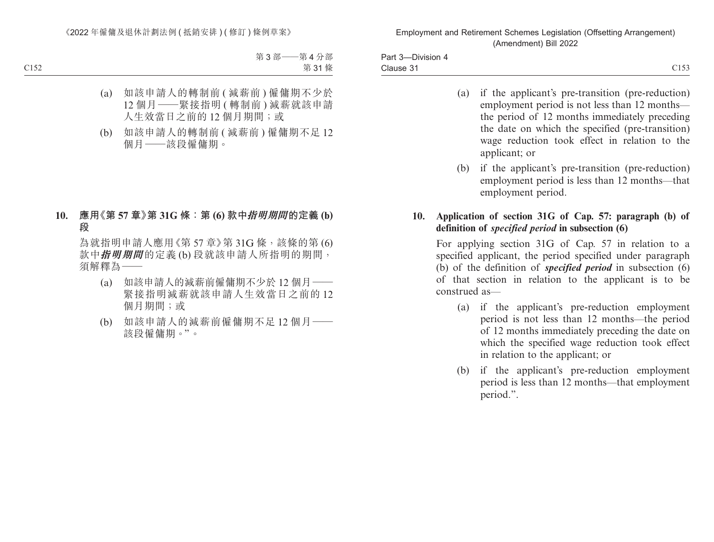Part 3—Division 4 Clause 31 Clause 31 Clause 31

- (a) if the applicant's pre-transition (pre-reduction) employment period is not less than 12 months the period of 12 months immediately preceding the date on which the specified (pre-transition) wage reduction took effect in relation to the applicant; or
- (b) if the applicant's pre-transition (pre-reduction) employment period is less than 12 months—that employment period.

#### **10. Application of section 31G of Cap. 57: paragraph (b) of definition of** *specified period* **in subsection (6)**

For applying section 31G of Cap. 57 in relation to a specified applicant, the period specified under paragraph (b) of the definition of *specified period* in subsection (6) of that section in relation to the applicant is to be construed as—

- (a) if the applicant's pre-reduction employment period is not less than 12 months—the period of 12 months immediately preceding the date on which the specified wage reduction took effect in relation to the applicant; or
- (b) if the applicant's pre-reduction employment period is less than 12 months—that employment period.".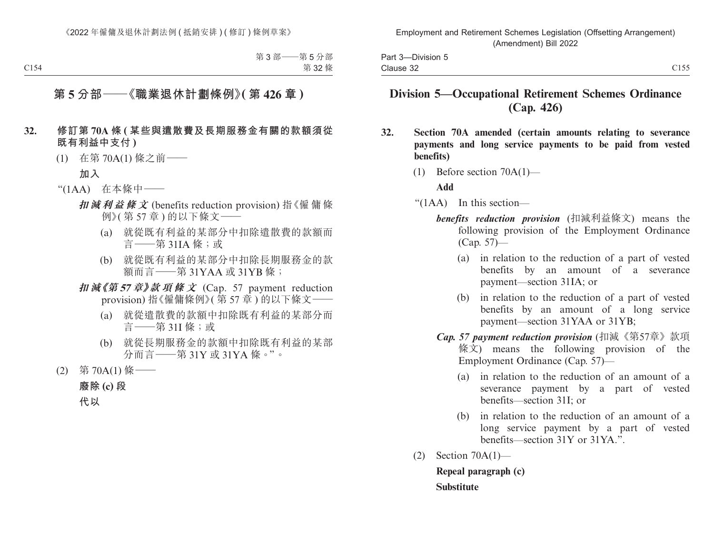# **Division 5—Occupational Retirement Schemes Ordinance (Cap. 426)**

- **32. Section 70A amended (certain amounts relating to severance payments and long service payments to be paid from vested benefits)**
	- (1) Before section 70A(1)—

#### **Add**

"(1AA) In this section—

- *benefits reduction provision* (扣減利益條文) means the following provision of the Employment Ordinance (Cap. 57)—
	- (a) in relation to the reduction of a part of vested benefits by an amount of a severance payment—section 31IA; or
	- (b) in relation to the reduction of a part of vested benefits by an amount of a long service payment—section 31YAA or 31YB;
- *Cap. 57 payment reduction provision* (扣減《第57章》款項 條文) means the following provision of the Employment Ordinance (Cap. 57)—
	- (a) in relation to the reduction of an amount of a severance payment by a part of vested benefits—section 31I; or
	- (b) in relation to the reduction of an amount of a long service payment by a part of vested benefits—section 31Y or 31YA.".
- (2) Section 70A(1)—

**Repeal paragraph (c) Substitute**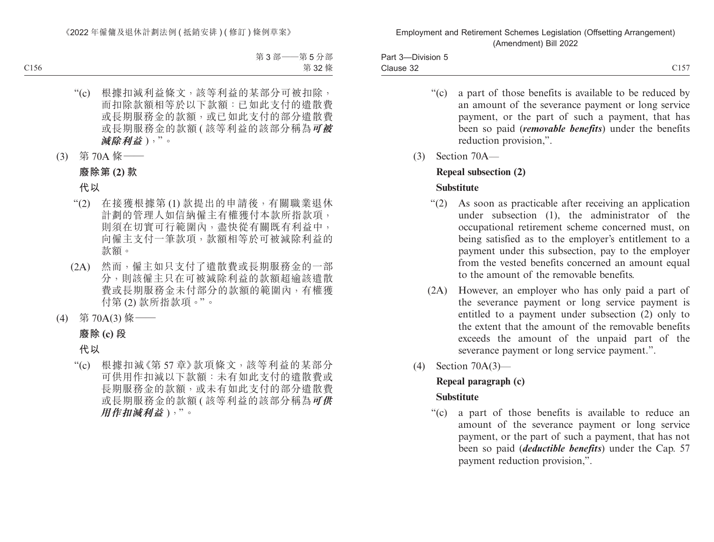Part 3—Division 5 Clause 32  $\blacksquare$ Clause 32  $\blacksquare$ 

- "(c) a part of those benefits is available to be reduced by an amount of the severance payment or long service payment, or the part of such a payment, that has been so paid (*removable benefits*) under the benefits reduction provision,".
- (3) Section 70A—

# **Repeal subsection (2)**

# **Substitute**

- "(2) As soon as practicable after receiving an application under subsection (1), the administrator of the occupational retirement scheme concerned must, on being satisfied as to the employer's entitlement to a payment under this subsection, pay to the employer from the vested benefits concerned an amount equal to the amount of the removable benefits.
- (2A) However, an employer who has only paid a part of the severance payment or long service payment is entitled to a payment under subsection (2) only to the extent that the amount of the removable benefits exceeds the amount of the unpaid part of the severance payment or long service payment.".
- (4) Section 70A(3)—

# **Repeal paragraph (c)**

## **Substitute**

"(c) a part of those benefits is available to reduce an amount of the severance payment or long service payment, or the part of such a payment, that has not been so paid (*deductible benefits*) under the Cap. 57 payment reduction provision,".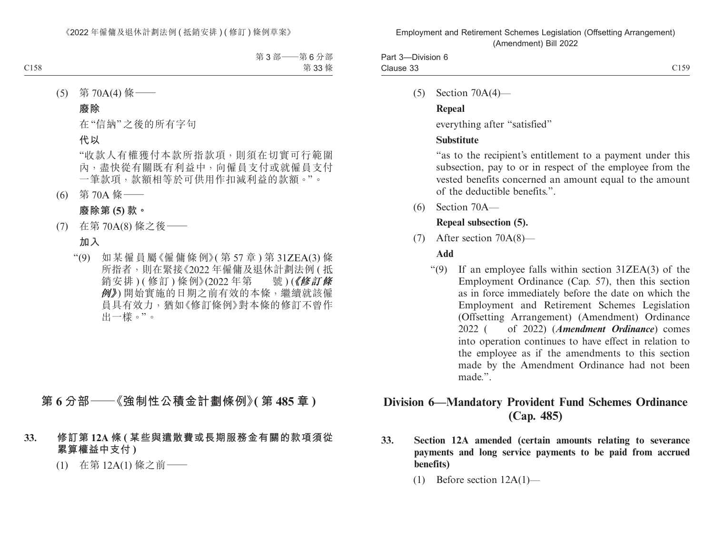(5) Section 70A(4)—

## **Repeal**

everything after "satisfied"

# **Substitute**

"as to the recipient's entitlement to a payment under this subsection, pay to or in respect of the employee from the vested benefits concerned an amount equal to the amount of the deductible benefits.".

(6) Section 70A—

# **Repeal subsection (5).**

(7) After section 70A(8)—

# **Add**

"(9) If an employee falls within section 31ZEA(3) of the Employment Ordinance (Cap. 57), then this section as in force immediately before the date on which the Employment and Retirement Schemes Legislation (Offsetting Arrangement) (Amendment) Ordinance 2022 ( of 2022) (*Amendment Ordinance*) comes into operation continues to have effect in relation to the employee as if the amendments to this section made by the Amendment Ordinance had not been made.".

# **Division 6—Mandatory Provident Fund Schemes Ordinance (Cap. 485)**

- **33. Section 12A amended (certain amounts relating to severance payments and long service payments to be paid from accrued benefits)**
	- (1) Before section 12A(1)—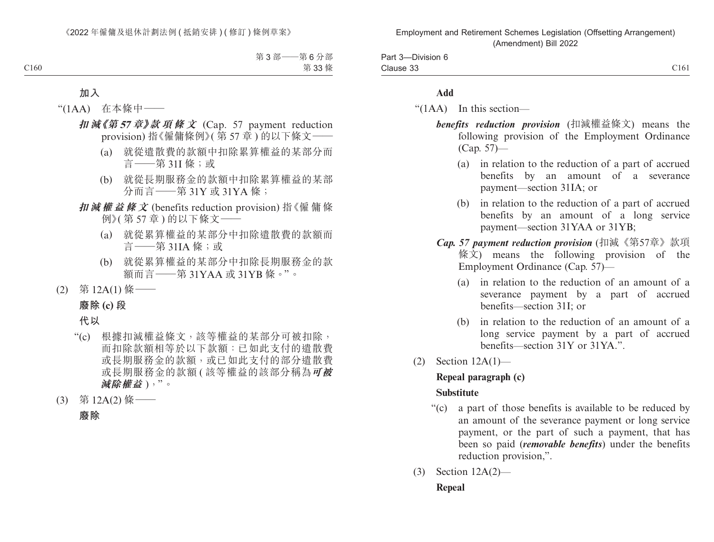| -Division 6<br>Part 3-                                                                                                       |      |
|------------------------------------------------------------------------------------------------------------------------------|------|
| Clause 33<br>the contract of the contract of the contract of the contract of the contract of the contract of the contract of | C161 |

#### **Add**

"(1AA) In this section—

- *benefits reduction provision* (扣減權益條文) means the following provision of the Employment Ordinance (Cap. 57)—
	- (a) in relation to the reduction of a part of accrued benefits by an amount of a severance payment—section 31IA; or
	- (b) in relation to the reduction of a part of accrued benefits by an amount of a long service payment—section 31YAA or 31YB;
- *Cap. 57 payment reduction provision* (扣減《第57章》款項 條文) means the following provision of the Employment Ordinance (Cap. 57)—
	- (a) in relation to the reduction of an amount of a severance payment by a part of accrued benefits—section 31I; or
	- (b) in relation to the reduction of an amount of a long service payment by a part of accrued benefits—section 31Y or 31YA.".
- (2) Section 12A(1)—

# **Repeal paragraph (c)**

#### **Substitute**

- "(c) a part of those benefits is available to be reduced by an amount of the severance payment or long service payment, or the part of such a payment, that has been so paid (*removable benefits*) under the benefits reduction provision,".
- (3) Section 12A(2)—

#### **Repeal**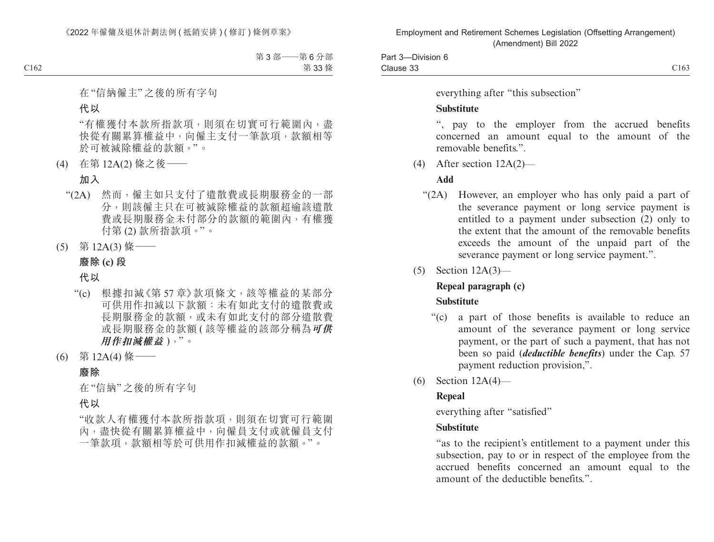Part 3—Division 6 Clause 33 Clause 33  $\qquad \qquad$  C163

everything after "this subsection"

#### **Substitute**

", pay to the employer from the accrued benefits concerned an amount equal to the amount of the removable benefits.".

(4) After section 12A(2)—

### **Add**

- "(2A) However, an employer who has only paid a part of the severance payment or long service payment is entitled to a payment under subsection (2) only to the extent that the amount of the removable benefits exceeds the amount of the unpaid part of the severance payment or long service payment.".
- (5) Section 12A(3)—

## **Repeal paragraph (c)**

#### **Substitute**

- "(c) a part of those benefits is available to reduce an amount of the severance payment or long service payment, or the part of such a payment, that has not been so paid (*deductible benefits*) under the Cap. 57 payment reduction provision,".
- (6) Section 12A(4)—

## **Repeal**

everything after "satisfied"

#### **Substitute**

"as to the recipient's entitlement to a payment under this subsection, pay to or in respect of the employee from the accrued benefits concerned an amount equal to the amount of the deductible benefits.".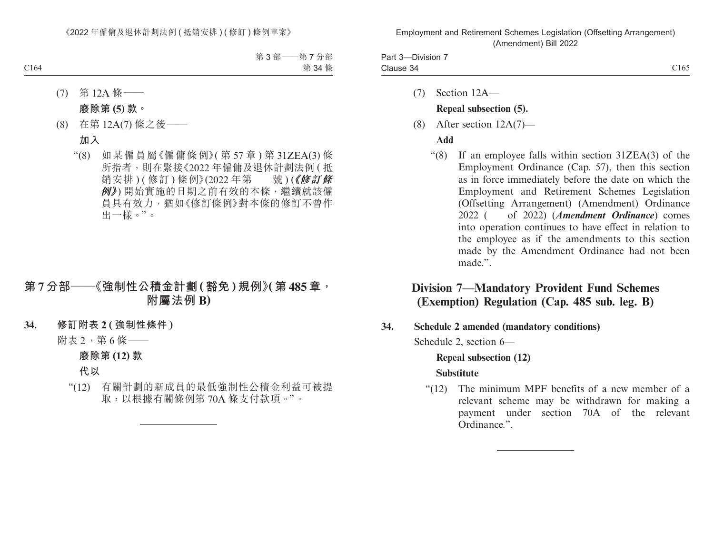| <b>Division</b><br>. In<br>-ai |                              |
|--------------------------------|------------------------------|
| Clause 34                      | $\sim$ $\sim$ $\sim$<br>L165 |

(7) Section 12A—

#### **Repeal subsection (5).**

(8) After section 12A(7)—

#### **Add**

"(8) If an employee falls within section 31ZEA(3) of the Employment Ordinance (Cap. 57), then this section as in force immediately before the date on which the Employment and Retirement Schemes Legislation (Offsetting Arrangement) (Amendment) Ordinance 2022 ( of 2022) (*Amendment Ordinance*) comes into operation continues to have effect in relation to the employee as if the amendments to this section made by the Amendment Ordinance had not been made.".

# **Division 7—Mandatory Provident Fund Schemes (Exemption) Regulation (Cap. 485 sub. leg. B)**

**34. Schedule 2 amended (mandatory conditions)**

Schedule 2, section 6—

#### **Repeal subsection (12)**

#### **Substitute**

"(12) The minimum MPF benefits of a new member of a relevant scheme may be withdrawn for making a payment under section 70A of the relevant Ordinance.".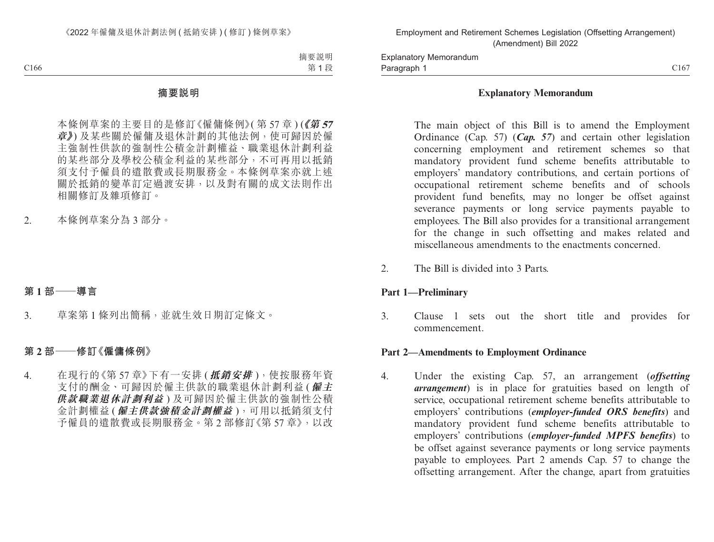#### **Explanatory Memorandum**

The main object of this Bill is to amend the Employment Ordinance (Cap. 57) (*Cap. 57*) and certain other legislation concerning employment and retirement schemes so that mandatory provident fund scheme benefits attributable to employers' mandatory contributions, and certain portions of occupational retirement scheme benefits and of schools provident fund benefits, may no longer be offset against severance payments or long service payments payable to employees. The Bill also provides for a transitional arrangement for the change in such offsetting and makes related and miscellaneous amendments to the enactments concerned.

2. The Bill is divided into 3 Parts.

#### **Part 1—Preliminary**

3. Clause 1 sets out the short title and provides for commencement.

#### **Part 2—Amendments to Employment Ordinance**

4. Under the existing Cap. 57, an arrangement (*offsetting arrangement*) is in place for gratuities based on length of service, occupational retirement scheme benefits attributable to employers' contributions (*employer-funded ORS benefits*) and mandatory provident fund scheme benefits attributable to employers' contributions (*employer-funded MPFS benefits*) to be offset against severance payments or long service payments payable to employees. Part 2 amends Cap. 57 to change the offsetting arrangement. After the change, apart from gratuities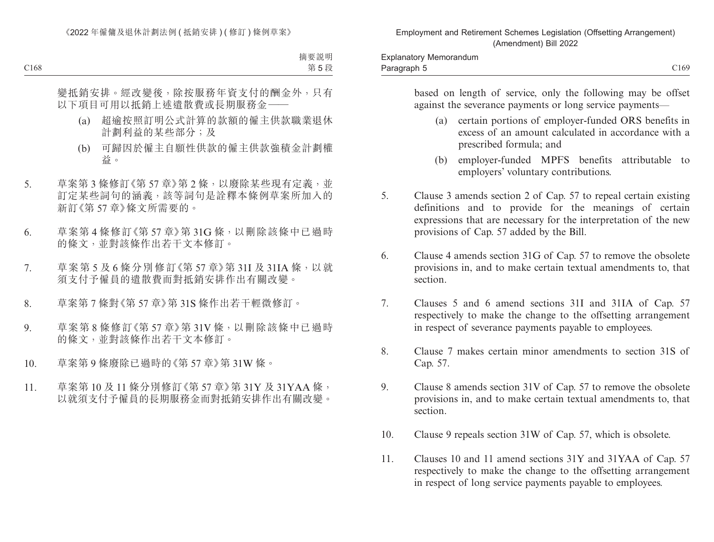based on length of service, only the following may be offset against the severance payments or long service payments—

- (a) certain portions of employer-funded ORS benefits in excess of an amount calculated in accordance with a prescribed formula; and
- (b) employer-funded MPFS benefits attributable to employers' voluntary contributions.
- 5. Clause 3 amends section 2 of Cap. 57 to repeal certain existing definitions and to provide for the meanings of certain expressions that are necessary for the interpretation of the new provisions of Cap. 57 added by the Bill.
- 6. Clause 4 amends section 31G of Cap. 57 to remove the obsolete provisions in, and to make certain textual amendments to, that section.
- 7. Clauses 5 and 6 amend sections 31I and 31IA of Cap. 57 respectively to make the change to the offsetting arrangement in respect of severance payments payable to employees.
- 8. Clause 7 makes certain minor amendments to section 31S of Cap. 57.
- 9. Clause 8 amends section 31V of Cap. 57 to remove the obsolete provisions in, and to make certain textual amendments to, that section.
- 10. Clause 9 repeals section 31W of Cap. 57, which is obsolete.
- 11. Clauses 10 and 11 amend sections 31Y and 31YAA of Cap. 57 respectively to make the change to the offsetting arrangement in respect of long service payments payable to employees.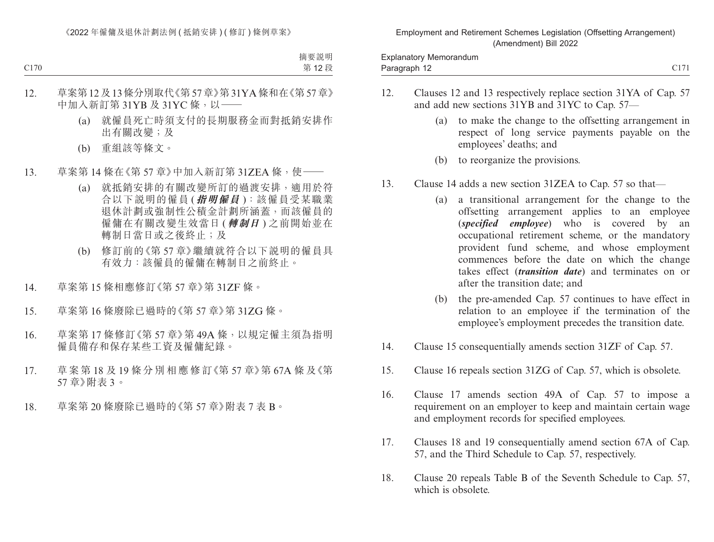- 12. Clauses 12 and 13 respectively replace section 31YA of Cap. 57 and add new sections 31YB and 31YC to Cap. 57—
	- (a) to make the change to the offsetting arrangement in respect of long service payments payable on the employees' deaths; and
	- (b) to reorganize the provisions.
- 13. Clause 14 adds a new section 31ZEA to Cap. 57 so that—
	- (a) a transitional arrangement for the change to the offsetting arrangement applies to an employee (*specified employee*) who is covered by an occupational retirement scheme, or the mandatory provident fund scheme, and whose employment commences before the date on which the change takes effect (*transition date*) and terminates on or after the transition date; and
	- (b) the pre-amended Cap. 57 continues to have effect in relation to an employee if the termination of the employee's employment precedes the transition date.
- 14. Clause 15 consequentially amends section 31ZF of Cap. 57.
- 15. Clause 16 repeals section 31ZG of Cap. 57, which is obsolete.
- 16. Clause 17 amends section 49A of Cap. 57 to impose a requirement on an employer to keep and maintain certain wage and employment records for specified employees.
- 17. Clauses 18 and 19 consequentially amend section 67A of Cap. 57, and the Third Schedule to Cap. 57, respectively.
- 18. Clause 20 repeals Table B of the Seventh Schedule to Cap. 57, which is obsolete.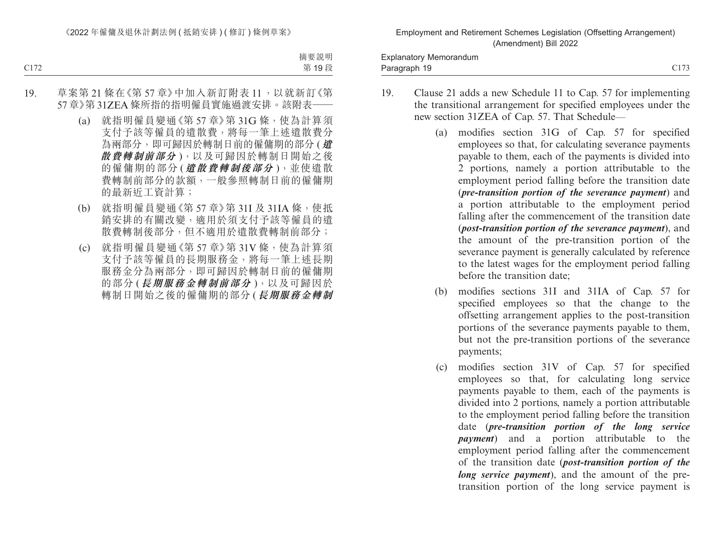Paragraph 19 and 20173 and 20173 and 20173 and 20173 and 20173 and 20173 and 20173 and 20173 and 20173 and 201 Explanatory Memorandum Paragraph 19

- 19. Clause 21 adds a new Schedule 11 to Cap. 57 for implementing the transitional arrangement for specified employees under the new section 31ZEA of Cap. 57. That Schedule—
	- (a) modifies section 31G of Cap. 57 for specified employees so that, for calculating severance payments payable to them, each of the payments is divided into 2 portions, namely a portion attributable to the employment period falling before the transition date (*pre-transition portion of the severance payment*) and a portion attributable to the employment period falling after the commencement of the transition date (*post-transition portion of the severance payment*), and the amount of the pre-transition portion of the severance payment is generally calculated by reference to the latest wages for the employment period falling before the transition date;
	- (b) modifies sections 31I and 31IA of Cap. 57 for specified employees so that the change to the offsetting arrangement applies to the post-transition portions of the severance payments payable to them, but not the pre-transition portions of the severance payments;
	- (c) modifies section 31V of Cap. 57 for specified employees so that, for calculating long service payments payable to them, each of the payments is divided into 2 portions, namely a portion attributable to the employment period falling before the transition date (*pre-transition portion of the long service payment*) and a portion attributable to the employment period falling after the commencement of the transition date (*post-transition portion of the long service payment*), and the amount of the pretransition portion of the long service payment is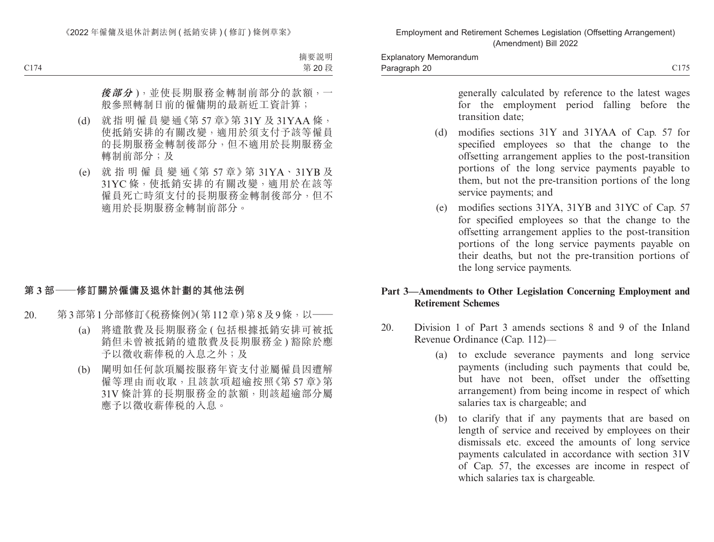generally calculated by reference to the latest wages for the employment period falling before the transition date;

- (d) modifies sections 31Y and 31YAA of Cap. 57 for specified employees so that the change to the offsetting arrangement applies to the post-transition portions of the long service payments payable to them, but not the pre-transition portions of the long service payments; and
- (e) modifies sections 31YA, 31YB and 31YC of Cap. 57 for specified employees so that the change to the offsetting arrangement applies to the post-transition portions of the long service payments payable on their deaths, but not the pre-transition portions of the long service payments.

#### **Part 3—Amendments to Other Legislation Concerning Employment and Retirement Schemes**

- 20. Division 1 of Part 3 amends sections 8 and 9 of the Inland Revenue Ordinance (Cap. 112)—
	- (a) to exclude severance payments and long service payments (including such payments that could be, but have not been, offset under the offsetting arrangement) from being income in respect of which salaries tax is chargeable; and
	- (b) to clarify that if any payments that are based on length of service and received by employees on their dismissals etc. exceed the amounts of long service payments calculated in accordance with section 31V of Cap. 57, the excesses are income in respect of which salaries tax is chargeable.